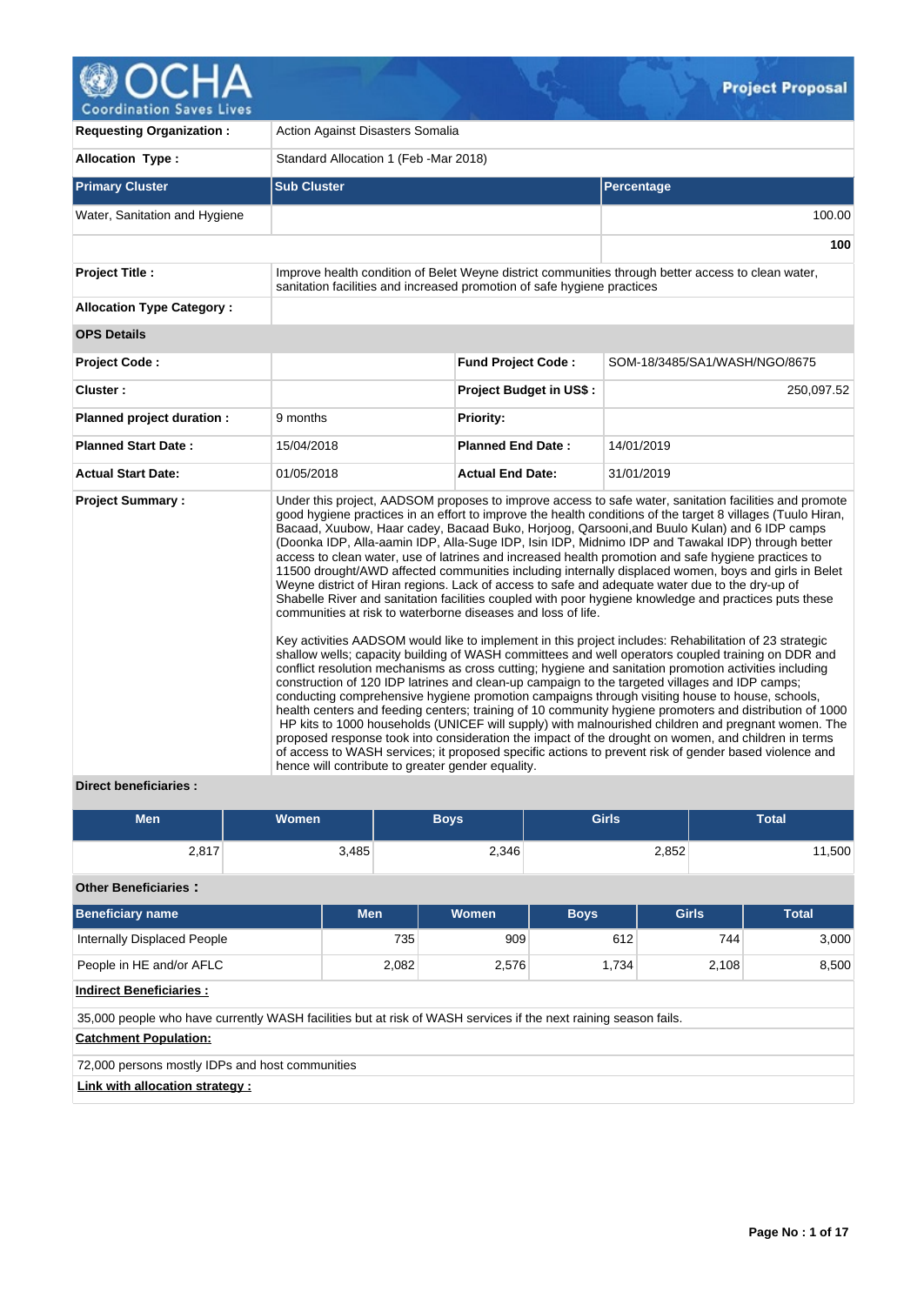

| <b>Requesting Organization:</b>  | Action Against Disasters Somalia                                                                                  |                                |                                                                                                                                                                                                                                                                                                                                                                                                                                                                                                                                                                                                                                                                                                                                                                                                                                                                                                                                                                                                                                                                                                                                                                                                                                                                                                                                                                                                                                                                                                                                                                                                                                                                                                                                                                                                                      |  |  |  |  |
|----------------------------------|-------------------------------------------------------------------------------------------------------------------|--------------------------------|----------------------------------------------------------------------------------------------------------------------------------------------------------------------------------------------------------------------------------------------------------------------------------------------------------------------------------------------------------------------------------------------------------------------------------------------------------------------------------------------------------------------------------------------------------------------------------------------------------------------------------------------------------------------------------------------------------------------------------------------------------------------------------------------------------------------------------------------------------------------------------------------------------------------------------------------------------------------------------------------------------------------------------------------------------------------------------------------------------------------------------------------------------------------------------------------------------------------------------------------------------------------------------------------------------------------------------------------------------------------------------------------------------------------------------------------------------------------------------------------------------------------------------------------------------------------------------------------------------------------------------------------------------------------------------------------------------------------------------------------------------------------------------------------------------------------|--|--|--|--|
| <b>Allocation Type:</b>          | Standard Allocation 1 (Feb - Mar 2018)                                                                            |                                |                                                                                                                                                                                                                                                                                                                                                                                                                                                                                                                                                                                                                                                                                                                                                                                                                                                                                                                                                                                                                                                                                                                                                                                                                                                                                                                                                                                                                                                                                                                                                                                                                                                                                                                                                                                                                      |  |  |  |  |
| <b>Primary Cluster</b>           | <b>Sub Cluster</b>                                                                                                |                                | <b>Percentage</b>                                                                                                                                                                                                                                                                                                                                                                                                                                                                                                                                                                                                                                                                                                                                                                                                                                                                                                                                                                                                                                                                                                                                                                                                                                                                                                                                                                                                                                                                                                                                                                                                                                                                                                                                                                                                    |  |  |  |  |
| Water, Sanitation and Hygiene    |                                                                                                                   |                                | 100.00                                                                                                                                                                                                                                                                                                                                                                                                                                                                                                                                                                                                                                                                                                                                                                                                                                                                                                                                                                                                                                                                                                                                                                                                                                                                                                                                                                                                                                                                                                                                                                                                                                                                                                                                                                                                               |  |  |  |  |
|                                  |                                                                                                                   |                                | 100                                                                                                                                                                                                                                                                                                                                                                                                                                                                                                                                                                                                                                                                                                                                                                                                                                                                                                                                                                                                                                                                                                                                                                                                                                                                                                                                                                                                                                                                                                                                                                                                                                                                                                                                                                                                                  |  |  |  |  |
| <b>Project Title:</b>            | sanitation facilities and increased promotion of safe hygiene practices                                           |                                | Improve health condition of Belet Weyne district communities through better access to clean water,                                                                                                                                                                                                                                                                                                                                                                                                                                                                                                                                                                                                                                                                                                                                                                                                                                                                                                                                                                                                                                                                                                                                                                                                                                                                                                                                                                                                                                                                                                                                                                                                                                                                                                                   |  |  |  |  |
| <b>Allocation Type Category:</b> |                                                                                                                   |                                |                                                                                                                                                                                                                                                                                                                                                                                                                                                                                                                                                                                                                                                                                                                                                                                                                                                                                                                                                                                                                                                                                                                                                                                                                                                                                                                                                                                                                                                                                                                                                                                                                                                                                                                                                                                                                      |  |  |  |  |
| <b>OPS Details</b>               |                                                                                                                   |                                |                                                                                                                                                                                                                                                                                                                                                                                                                                                                                                                                                                                                                                                                                                                                                                                                                                                                                                                                                                                                                                                                                                                                                                                                                                                                                                                                                                                                                                                                                                                                                                                                                                                                                                                                                                                                                      |  |  |  |  |
| <b>Project Code:</b>             |                                                                                                                   | <b>Fund Project Code:</b>      | SOM-18/3485/SA1/WASH/NGO/8675                                                                                                                                                                                                                                                                                                                                                                                                                                                                                                                                                                                                                                                                                                                                                                                                                                                                                                                                                                                                                                                                                                                                                                                                                                                                                                                                                                                                                                                                                                                                                                                                                                                                                                                                                                                        |  |  |  |  |
| Cluster:                         |                                                                                                                   | <b>Project Budget in US\$:</b> | 250,097.52                                                                                                                                                                                                                                                                                                                                                                                                                                                                                                                                                                                                                                                                                                                                                                                                                                                                                                                                                                                                                                                                                                                                                                                                                                                                                                                                                                                                                                                                                                                                                                                                                                                                                                                                                                                                           |  |  |  |  |
| Planned project duration :       | 9 months                                                                                                          | Priority:                      |                                                                                                                                                                                                                                                                                                                                                                                                                                                                                                                                                                                                                                                                                                                                                                                                                                                                                                                                                                                                                                                                                                                                                                                                                                                                                                                                                                                                                                                                                                                                                                                                                                                                                                                                                                                                                      |  |  |  |  |
| <b>Planned Start Date:</b>       | 15/04/2018                                                                                                        | <b>Planned End Date:</b>       | 14/01/2019                                                                                                                                                                                                                                                                                                                                                                                                                                                                                                                                                                                                                                                                                                                                                                                                                                                                                                                                                                                                                                                                                                                                                                                                                                                                                                                                                                                                                                                                                                                                                                                                                                                                                                                                                                                                           |  |  |  |  |
| <b>Actual Start Date:</b>        | 01/05/2018                                                                                                        | <b>Actual End Date:</b>        | 31/01/2019                                                                                                                                                                                                                                                                                                                                                                                                                                                                                                                                                                                                                                                                                                                                                                                                                                                                                                                                                                                                                                                                                                                                                                                                                                                                                                                                                                                                                                                                                                                                                                                                                                                                                                                                                                                                           |  |  |  |  |
| <b>Project Summary:</b>          | communities at risk to waterborne diseases and loss of life.<br>hence will contribute to greater gender equality. |                                | Under this project, AADSOM proposes to improve access to safe water, sanitation facilities and promote<br>good hygiene practices in an effort to improve the health conditions of the target 8 villages (Tuulo Hiran,<br>Bacaad, Xuubow, Haar cadey, Bacaad Buko, Horjoog, Qarsooni, and Buulo Kulan) and 6 IDP camps<br>(Doonka IDP, Alla-aamin IDP, Alla-Suge IDP, Isin IDP, Midnimo IDP and Tawakal IDP) through better<br>access to clean water, use of latrines and increased health promotion and safe hygiene practices to<br>11500 drought/AWD affected communities including internally displaced women, boys and girls in Belet<br>Weyne district of Hiran regions. Lack of access to safe and adequate water due to the dry-up of<br>Shabelle River and sanitation facilities coupled with poor hygiene knowledge and practices puts these<br>Key activities AADSOM would like to implement in this project includes: Rehabilitation of 23 strategic<br>shallow wells; capacity building of WASH committees and well operators coupled training on DDR and<br>conflict resolution mechanisms as cross cutting; hygiene and sanitation promotion activities including<br>construction of 120 IDP latrines and clean-up campaign to the targeted villages and IDP camps;<br>conducting comprehensive hygiene promotion campaigns through visiting house to house, schools,<br>health centers and feeding centers; training of 10 community hygiene promoters and distribution of 1000<br>HP kits to 1000 households (UNICEF will supply) with malnourished children and pregnant women. The<br>proposed response took into consideration the impact of the drought on women, and children in terms<br>of access to WASH services; it proposed specific actions to prevent risk of gender based violence and |  |  |  |  |

## **Direct beneficiaries :**

| <b>Men</b> | <b>Women</b> | <b>Boys</b> | <b>Girls</b> | <b>Total</b> |  |  |
|------------|--------------|-------------|--------------|--------------|--|--|
| 2,817      | 3,485        | 2,346       | 2,852        | 11,500       |  |  |

**Other Beneficiaries :**

| <b>Beneficiary name</b>                                                                                         | <b>Men</b> | Women | <b>Boys</b> | <b>Girls</b> | <b>Total</b> |  |  |  |  |  |
|-----------------------------------------------------------------------------------------------------------------|------------|-------|-------------|--------------|--------------|--|--|--|--|--|
| Internally Displaced People                                                                                     | 735        | 909   | 612         | 744          | 3.000        |  |  |  |  |  |
| 8,500<br>People in HE and/or AFLC<br>2,108<br>2,082<br>2,576<br>1.734                                           |            |       |             |              |              |  |  |  |  |  |
| <b>Indirect Beneficiaries:</b>                                                                                  |            |       |             |              |              |  |  |  |  |  |
| 35,000 people who have currently WASH facilities but at risk of WASH services if the next raining season fails. |            |       |             |              |              |  |  |  |  |  |
| <b>Catchment Population:</b>                                                                                    |            |       |             |              |              |  |  |  |  |  |
| 72,000 persons mostly IDPs and host communities                                                                 |            |       |             |              |              |  |  |  |  |  |
| Link with allocation strategy :                                                                                 |            |       |             |              |              |  |  |  |  |  |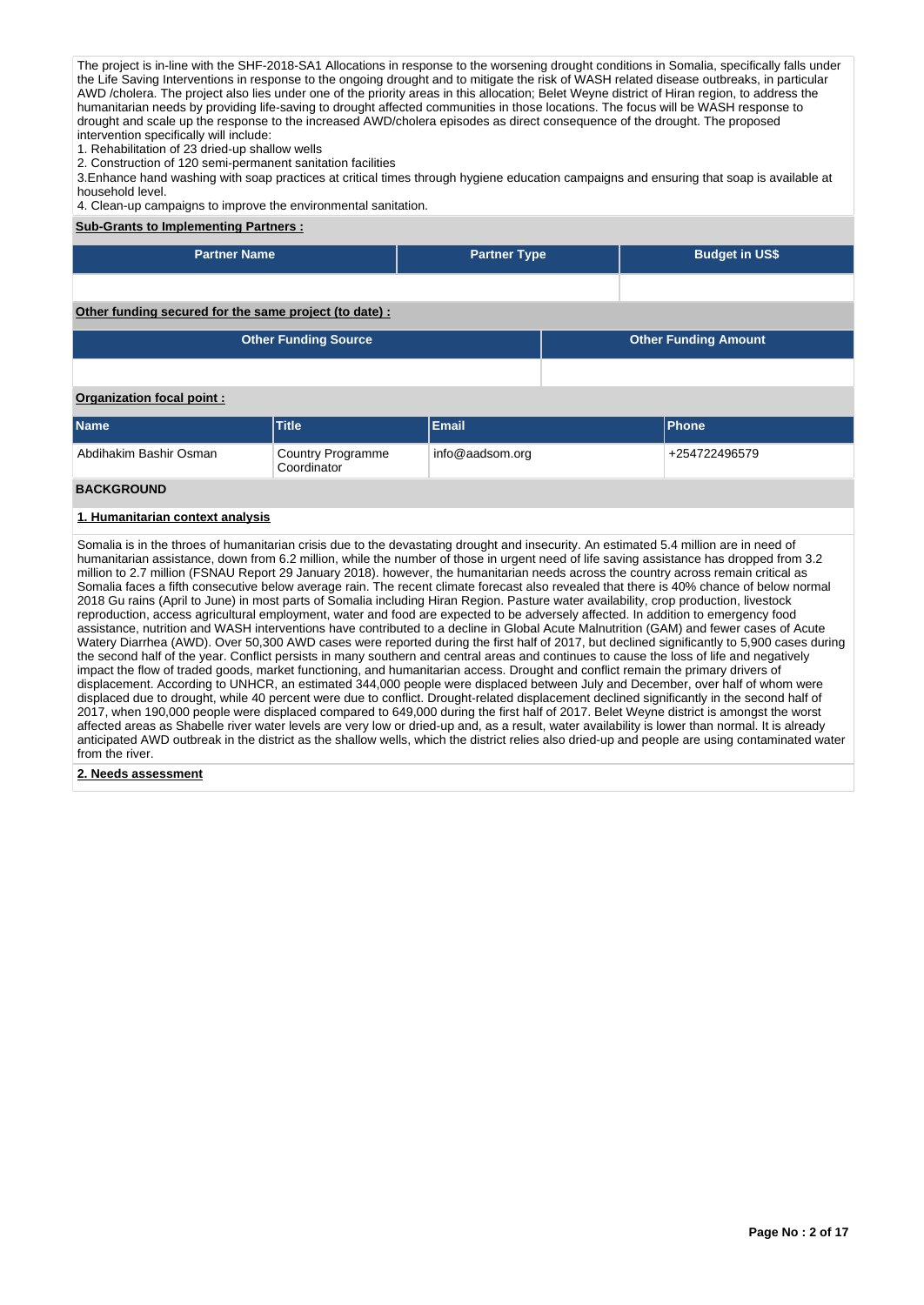The project is in-line with the SHF-2018-SA1 Allocations in response to the worsening drought conditions in Somalia, specifically falls under the Life Saving Interventions in response to the ongoing drought and to mitigate the risk of WASH related disease outbreaks, in particular AWD /cholera. The project also lies under one of the priority areas in this allocation; Belet Weyne district of Hiran region, to address the humanitarian needs by providing life-saving to drought affected communities in those locations. The focus will be WASH response to drought and scale up the response to the increased AWD/cholera episodes as direct consequence of the drought. The proposed intervention specifically will include:

1. Rehabilitation of 23 dried-up shallow wells

2. Construction of 120 semi-permanent sanitation facilities

3.Enhance hand washing with soap practices at critical times through hygiene education campaigns and ensuring that soap is available at household level.

4. Clean-up campaigns to improve the environmental sanitation.

## **Sub-Grants to Implementing Partners :**

| <b>Partner Name</b>                                                                                                                                                                                                                       |                                  | <b>Partner Type</b> |                             | <b>Budget in US\$</b> |  |  |  |  |  |  |  |
|-------------------------------------------------------------------------------------------------------------------------------------------------------------------------------------------------------------------------------------------|----------------------------------|---------------------|-----------------------------|-----------------------|--|--|--|--|--|--|--|
|                                                                                                                                                                                                                                           |                                  |                     |                             |                       |  |  |  |  |  |  |  |
| Other funding secured for the same project (to date):                                                                                                                                                                                     |                                  |                     |                             |                       |  |  |  |  |  |  |  |
|                                                                                                                                                                                                                                           | <b>Other Funding Source</b>      |                     | <b>Other Funding Amount</b> |                       |  |  |  |  |  |  |  |
|                                                                                                                                                                                                                                           |                                  |                     |                             |                       |  |  |  |  |  |  |  |
| Organization focal point:                                                                                                                                                                                                                 |                                  |                     |                             |                       |  |  |  |  |  |  |  |
| Name                                                                                                                                                                                                                                      | <b>Title</b>                     | Email               |                             | <b>Phone</b>          |  |  |  |  |  |  |  |
| Abdihakim Bashir Osman                                                                                                                                                                                                                    | Country Programme<br>Coordinator | info@aadsom.org     |                             | +254722496579         |  |  |  |  |  |  |  |
| <b>BACKGROUND</b>                                                                                                                                                                                                                         |                                  |                     |                             |                       |  |  |  |  |  |  |  |
| $\overline{a}$ and $\overline{a}$ are the contract of the contract of the contract of the contract of the contract of the contract of the contract of the contract of the contract of the contract of the contract of the contract of the |                                  |                     |                             |                       |  |  |  |  |  |  |  |

## **1. Humanitarian context analysis**

Somalia is in the throes of humanitarian crisis due to the devastating drought and insecurity. An estimated 5.4 million are in need of humanitarian assistance, down from 6.2 million, while the number of those in urgent need of life saving assistance has dropped from 3.2 million to 2.7 million (FSNAU Report 29 January 2018). however, the humanitarian needs across the country across remain critical as Somalia faces a fifth consecutive below average rain. The recent climate forecast also revealed that there is 40% chance of below normal 2018 Gu rains (April to June) in most parts of Somalia including Hiran Region. Pasture water availability, crop production, livestock reproduction, access agricultural employment, water and food are expected to be adversely affected. In addition to emergency food assistance, nutrition and WASH interventions have contributed to a decline in Global Acute Malnutrition (GAM) and fewer cases of Acute Watery Diarrhea (AWD). Over 50,300 AWD cases were reported during the first half of 2017, but declined significantly to 5,900 cases during the second half of the year. Conflict persists in many southern and central areas and continues to cause the loss of life and negatively impact the flow of traded goods, market functioning, and humanitarian access. Drought and conflict remain the primary drivers of displacement. According to UNHCR, an estimated 344,000 people were displaced between July and December, over half of whom were displaced due to drought, while 40 percent were due to conflict. Drought-related displacement declined significantly in the second half of 2017, when 190,000 people were displaced compared to 649,000 during the first half of 2017. Belet Weyne district is amongst the worst affected areas as Shabelle river water levels are very low or dried-up and, as a result, water availability is lower than normal. It is already anticipated AWD outbreak in the district as the shallow wells, which the district relies also dried-up and people are using contaminated water from the river.

## **2. Needs assessment**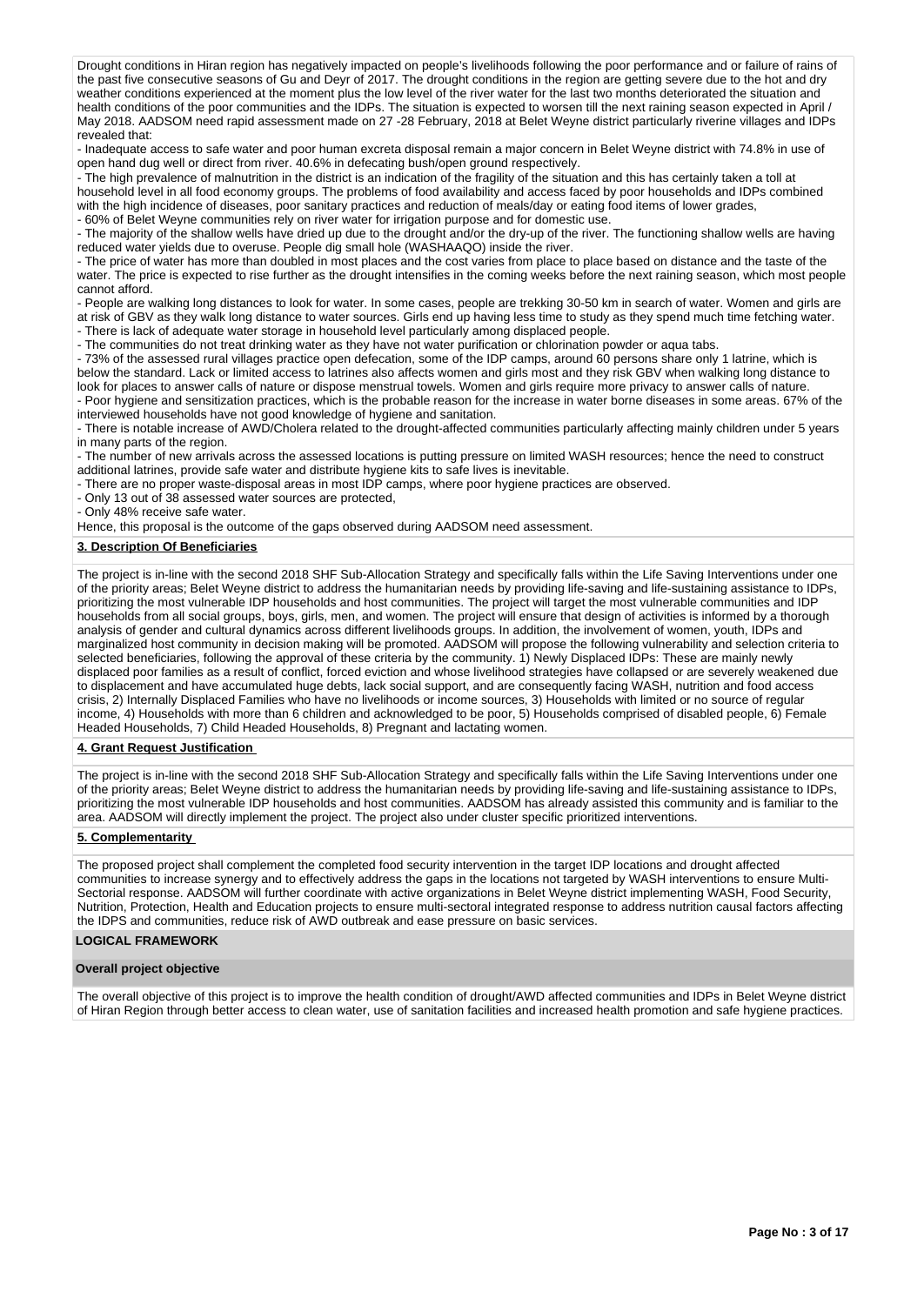Drought conditions in Hiran region has negatively impacted on people's livelihoods following the poor performance and or failure of rains of the past five consecutive seasons of Gu and Deyr of 2017. The drought conditions in the region are getting severe due to the hot and dry weather conditions experienced at the moment plus the low level of the river water for the last two months deteriorated the situation and weather conditions experienced at the moment plus the low level of the river water f health conditions of the poor communities and the IDPs. The situation is expected to worsen till the next raining season expected in April / May 2018. AADSOM need rapid assessment made on 27 -28 February, 2018 at Belet Weyne district particularly riverine villages and IDPs revealed that:

- Inadequate access to safe water and poor human excreta disposal remain a major concern in Belet Weyne district with 74.8% in use of open hand dug well or direct from river. 40.6% in defecating bush/open ground respectively.

- The high prevalence of malnutrition in the district is an indication of the fragility of the situation and this has certainly taken a toll at household level in all food economy groups. The problems of food availability and access faced by poor households and IDPs combined with the high incidence of diseases, poor sanitary practices and reduction of meals/day or eating food items of lower grades,

- 60% of Belet Weyne communities rely on river water for irrigation purpose and for domestic use.

- The majority of the shallow wells have dried up due to the drought and/or the dry-up of the river. The functioning shallow wells are having reduced water yields due to overuse. People dig small hole (WASHAAQO) inside the river.

- The price of water has more than doubled in most places and the cost varies from place to place based on distance and the taste of the water. The price is expected to rise further as the drought intensifies in the coming weeks before the next raining season, which most people cannot afford.

- People are walking long distances to look for water. In some cases, people are trekking 30-50 km in search of water. Women and girls are at risk of GBV as they walk long distance to water sources. Girls end up having less time to study as they spend much time fetching water.

- There is lack of adequate water storage in household level particularly among displaced people.

- The communities do not treat drinking water as they have not water purification or chlorination powder or aqua tabs.

- 73% of the assessed rural villages practice open defecation, some of the IDP camps, around 60 persons share only 1 latrine, which is below the standard. Lack or limited access to latrines also affects women and girls most and they risk GBV when walking long distance to look for places to answer calls of nature or dispose menstrual towels. Women and girls require more privacy to answer calls of nature.

- Poor hygiene and sensitization practices, which is the probable reason for the increase in water borne diseases in some areas. 67% of the interviewed households have not good knowledge of hygiene and sanitation.

- There is notable increase of AWD/Cholera related to the drought-affected communities particularly affecting mainly children under 5 years in many parts of the region.

- The number of new arrivals across the assessed locations is putting pressure on limited WASH resources; hence the need to construct additional latrines, provide safe water and distribute hygiene kits to safe lives is inevitable.

- There are no proper waste-disposal areas in most IDP camps, where poor hygiene practices are observed.

- Only 13 out of 38 assessed water sources are protected,

- Only 48% receive safe water.

Hence, this proposal is the outcome of the gaps observed during AADSOM need assessment.

## **3. Description Of Beneficiaries**

The project is in-line with the second 2018 SHF Sub-Allocation Strategy and specifically falls within the Life Saving Interventions under one of the priority areas; Belet Weyne district to address the humanitarian needs by providing life-saving and life-sustaining assistance to IDPs, prioritizing the most vulnerable IDP households and host communities. The project will target the most vulnerable communities and IDP households from all social groups, boys, girls, men, and women. The project will ensure that design of activities is informed by a thorough analysis of gender and cultural dynamics across different livelihoods groups. In addition, the involvement of women, youth, IDPs and marginalized host community in decision making will be promoted. AADSOM will propose the following vulnerability and selection criteria to selected beneficiaries, following the approval of these criteria by the community. 1) Newly Displaced IDPs: These are mainly newly displaced poor families as a result of conflict, forced eviction and whose livelihood strategies have collapsed or are severely weakened due to displacement and have accumulated huge debts, lack social support, and are consequently facing WASH, nutrition and food access crisis, 2) Internally Displaced Families who have no livelihoods or income sources, 3) Households with limited or no source of regular income, 4) Households with more than 6 children and acknowledged to be poor, 5) Households comprised of disabled people, 6) Female Headed Households, 7) Child Headed Households, 8) Pregnant and lactating women.

#### **4. Grant Request Justification**

The project is in-line with the second 2018 SHF Sub-Allocation Strategy and specifically falls within the Life Saving Interventions under one of the priority areas; Belet Weyne district to address the humanitarian needs by providing life-saving and life-sustaining assistance to IDPs, prioritizing the most vulnerable IDP households and host communities. AADSOM has already assisted this community and is familiar to the area. AADSOM will directly implement the project. The project also under cluster specific prioritized interventions.

## **5. Complementarity**

The proposed project shall complement the completed food security intervention in the target IDP locations and drought affected communities to increase synergy and to effectively address the gaps in the locations not targeted by WASH interventions to ensure Multi-Sectorial response. AADSOM will further coordinate with active organizations in Belet Weyne district implementing WASH, Food Security, Nutrition, Protection, Health and Education projects to ensure multi-sectoral integrated response to address nutrition causal factors affecting the IDPS and communities, reduce risk of AWD outbreak and ease pressure on basic services.

## **LOGICAL FRAMEWORK**

#### **Overall project objective**

The overall objective of this project is to improve the health condition of drought/AWD affected communities and IDPs in Belet Weyne district of Hiran Region through better access to clean water, use of sanitation facilities and increased health promotion and safe hygiene practices.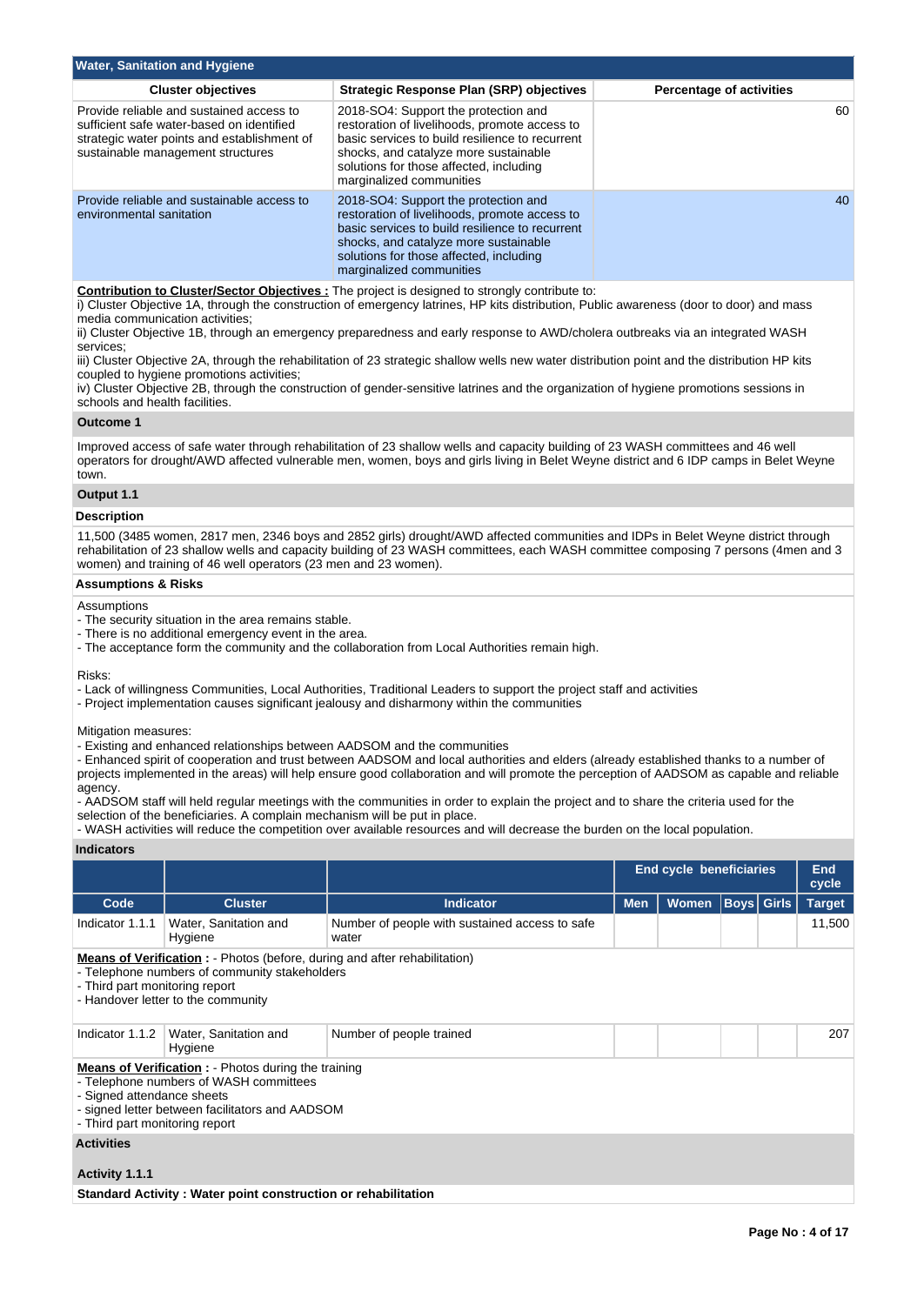| <b>Water, Sanitation and Hygiene</b>                                                                                                                                      |                                                                                                                                                                                                                                                          |                                 |  |  |  |  |  |  |  |
|---------------------------------------------------------------------------------------------------------------------------------------------------------------------------|----------------------------------------------------------------------------------------------------------------------------------------------------------------------------------------------------------------------------------------------------------|---------------------------------|--|--|--|--|--|--|--|
| <b>Cluster objectives</b>                                                                                                                                                 | <b>Strategic Response Plan (SRP) objectives</b>                                                                                                                                                                                                          | <b>Percentage of activities</b> |  |  |  |  |  |  |  |
| Provide reliable and sustained access to<br>sufficient safe water-based on identified<br>strategic water points and establishment of<br>sustainable management structures | 2018-SO4: Support the protection and<br>restoration of livelihoods, promote access to<br>basic services to build resilience to recurrent<br>shocks, and catalyze more sustainable<br>solutions for those affected, including<br>marginalized communities | 60                              |  |  |  |  |  |  |  |
| Provide reliable and sustainable access to<br>environmental sanitation                                                                                                    | 2018-SO4: Support the protection and<br>restoration of livelihoods, promote access to<br>basic services to build resilience to recurrent<br>shocks, and catalyze more sustainable<br>solutions for those affected, including<br>marginalized communities | 40                              |  |  |  |  |  |  |  |

#### **Contribution to Cluster/Sector Objectives :** The project is designed to strongly contribute to:

i) Cluster Objective 1A, through the construction of emergency latrines, HP kits distribution, Public awareness (door to door) and mass media communication activities;

ii) Cluster Objective 1B, through an emergency preparedness and early response to AWD/cholera outbreaks via an integrated WASH services;

iii) Cluster Objective 2A, through the rehabilitation of 23 strategic shallow wells new water distribution point and the distribution HP kits coupled to hygiene promotions activities;

iv) Cluster Objective 2B, through the construction of gender-sensitive latrines and the organization of hygiene promotions sessions in schools and health facilities.

#### **Outcome 1**

Improved access of safe water through rehabilitation of 23 shallow wells and capacity building of 23 WASH committees and 46 well operators for drought/AWD affected vulnerable men, women, boys and girls living in Belet Weyne district and 6 IDP camps in Belet Weyne town.

# **Output 1.1**

## **Description**

11,500 (3485 women, 2817 men, 2346 boys and 2852 girls) drought/AWD affected communities and IDPs in Belet Weyne district through rehabilitation of 23 shallow wells and capacity building of 23 WASH committees, each WASH committee composing 7 persons (4men and 3 women) and training of 46 well operators (23 men and 23 women).

### **Assumptions & Risks**

## **Assumptions**

- The security situation in the area remains stable.

- There is no additional emergency event in the area.
- The acceptance form the community and the collaboration from Local Authorities remain high.

Risks:

- Lack of willingness Communities, Local Authorities, Traditional Leaders to support the project staff and activities
- Project implementation causes significant jealousy and disharmony within the communities

Mitigation measures:

- Existing and enhanced relationships between AADSOM and the communities

- Enhanced spirit of cooperation and trust between AADSOM and local authorities and elders (already established thanks to a number of projects implemented in the areas) will help ensure good collaboration and will promote the perception of AADSOM as capable and reliable agency.

- AADSOM staff will held regular meetings with the communities in order to explain the project and to share the criteria used for the selection of the beneficiaries. A complain mechanism will be put in place.

- WASH activities will reduce the competition over available resources and will decrease the burden on the local population.

**Indicators**

|                                                                                                                                                                                                            |                                                                                                                                                                                                                          |                                                         |            | <b>End cycle beneficiaries</b> |  |  |        |  |  |
|------------------------------------------------------------------------------------------------------------------------------------------------------------------------------------------------------------|--------------------------------------------------------------------------------------------------------------------------------------------------------------------------------------------------------------------------|---------------------------------------------------------|------------|--------------------------------|--|--|--------|--|--|
| Code                                                                                                                                                                                                       | <b>Cluster</b>                                                                                                                                                                                                           | <b>Indicator</b>                                        | <b>Men</b> | <b>Target</b>                  |  |  |        |  |  |
| Indicator 1.1.1                                                                                                                                                                                            | Water, Sanitation and<br>Hygiene                                                                                                                                                                                         | Number of people with sustained access to safe<br>water |            |                                |  |  | 11,500 |  |  |
| <b>Means of Verification</b> : - Photos (before, during and after rehabilitation)<br>- Telephone numbers of community stakeholders<br>- Third part monitoring report<br>- Handover letter to the community |                                                                                                                                                                                                                          |                                                         |            |                                |  |  |        |  |  |
| Indicator 1.1.2                                                                                                                                                                                            | Water, Sanitation and<br>Hygiene                                                                                                                                                                                         | Number of people trained                                |            |                                |  |  | 207    |  |  |
|                                                                                                                                                                                                            | <b>Means of Verification :</b> - Photos during the training<br>- Telephone numbers of WASH committees<br>- Signed attendance sheets<br>- signed letter between facilitators and AADSOM<br>- Third part monitoring report |                                                         |            |                                |  |  |        |  |  |
| <b>Activities</b>                                                                                                                                                                                          |                                                                                                                                                                                                                          |                                                         |            |                                |  |  |        |  |  |
| Activity 1.1.1                                                                                                                                                                                             |                                                                                                                                                                                                                          |                                                         |            |                                |  |  |        |  |  |
|                                                                                                                                                                                                            | Standard Activity: Water point construction or rehabilitation                                                                                                                                                            |                                                         |            |                                |  |  |        |  |  |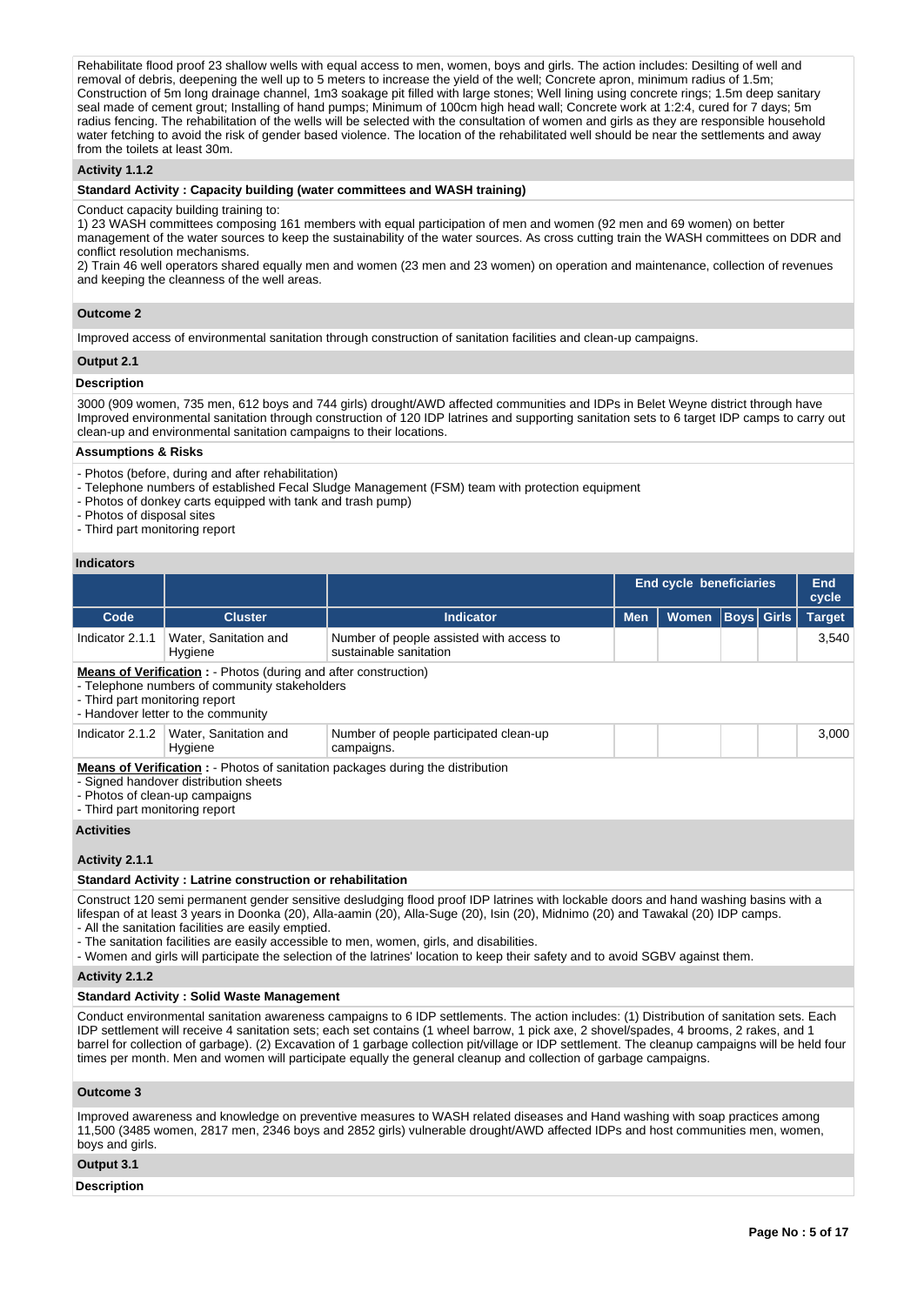Rehabilitate flood proof 23 shallow wells with equal access to men, women, boys and girls. The action includes: Desilting of well and removal of debris, deepening the well up to 5 meters to increase the yield of the well; Concrete apron, minimum radius of 1.5m; Construction of 5m long drainage channel, 1m3 soakage pit filled with large stones; Well lining using concrete rings; 1.5m deep sanitary seal made of cement grout; Installing of hand pumps; Minimum of 100cm high head wall; Concrete work at 1:2:4, cured for 7 days; 5m radius fencing. The rehabilitation of the wells will be selected with the consultation of women and girls as they are responsible household water fetching to avoid the risk of gender based violence. The location of the rehabilitated well should be near the settlements and away from the toilets at least 30m.

## **Activity 1.1.2**

#### **Standard Activity : Capacity building (water committees and WASH training)**

#### Conduct capacity building training to:

1) 23 WASH committees composing 161 members with equal participation of men and women (92 men and 69 women) on better management of the water sources to keep the sustainability of the water sources. As cross cutting train the WASH committees on DDR and conflict resolution mechanisms.

2) Train 46 well operators shared equally men and women (23 men and 23 women) on operation and maintenance, collection of revenues and keeping the cleanness of the well areas.

### **Outcome 2**

Improved access of environmental sanitation through construction of sanitation facilities and clean-up campaigns.

#### **Output 2.1**

## **Description**

3000 (909 women, 735 men, 612 boys and 744 girls) drought/AWD affected communities and IDPs in Belet Weyne district through have Improved environmental sanitation through construction of 120 IDP latrines and supporting sanitation sets to 6 target IDP camps to carry out clean-up and environmental sanitation campaigns to their locations.

#### **Assumptions & Risks**

- Photos (before, during and after rehabilitation)

- Telephone numbers of established Fecal Sludge Management (FSM) team with protection equipment

- Photos of donkey carts equipped with tank and trash pump)

- Photos of disposal sites

- Third part monitoring report

#### **Indicators**

|                                                                                                                                                                                                    |                                  |                                                                    | <b>End cycle beneficiaries</b> |                   |               |  | <b>End</b><br>cycle |  |  |
|----------------------------------------------------------------------------------------------------------------------------------------------------------------------------------------------------|----------------------------------|--------------------------------------------------------------------|--------------------------------|-------------------|---------------|--|---------------------|--|--|
| Code                                                                                                                                                                                               | <b>Cluster</b>                   | Indicator                                                          | <b>Men</b>                     | <b>Boys</b> Girls | <b>Target</b> |  |                     |  |  |
| Indicator 2.1.1                                                                                                                                                                                    | Water, Sanitation and<br>Hygiene | Number of people assisted with access to<br>sustainable sanitation |                                |                   |               |  | 3,540               |  |  |
| <b>Means of Verification :</b> - Photos (during and after construction)<br>- Telephone numbers of community stakeholders<br>- Third part monitoring report<br>- Handover letter to the community   |                                  |                                                                    |                                |                   |               |  |                     |  |  |
| Indicator 2.1.2                                                                                                                                                                                    | Water, Sanitation and<br>Hygiene | Number of people participated clean-up<br>campaigns.               |                                |                   |               |  | 3,000               |  |  |
| <b>Means of Verification:</b> - Photos of sanitation packages during the distribution<br>- Signed handover distribution sheets<br>- Photos of clean-up campaigns<br>- Third part monitoring report |                                  |                                                                    |                                |                   |               |  |                     |  |  |
| <b>Activities</b>                                                                                                                                                                                  |                                  |                                                                    |                                |                   |               |  |                     |  |  |
| Activity 2.1.1                                                                                                                                                                                     |                                  |                                                                    |                                |                   |               |  |                     |  |  |

#### **Standard Activity : Latrine construction or rehabilitation**

Construct 120 semi permanent gender sensitive desludging flood proof IDP latrines with lockable doors and hand washing basins with a lifespan of at least 3 years in Doonka (20), Alla-aamin (20), Alla-Suge (20), Isin (20), Midnimo (20) and Tawakal (20) IDP camps. - All the sanitation facilities are easily emptied.

- The sanitation facilities are easily accessible to men, women, girls, and disabilities.

- Women and girls will participate the selection of the latrines' location to keep their safety and to avoid SGBV against them.

**Activity 2.1.2** 

## **Standard Activity : Solid Waste Management**

Conduct environmental sanitation awareness campaigns to 6 IDP settlements. The action includes: (1) Distribution of sanitation sets. Each IDP settlement will receive 4 sanitation sets; each set contains (1 wheel barrow, 1 pick axe, 2 shovel/spades, 4 brooms, 2 rakes, and 1 barrel for collection of garbage). (2) Excavation of 1 garbage collection pit/village or IDP settlement. The cleanup campaigns will be held four times per month. Men and women will participate equally the general cleanup and collection of garbage campaigns.

## **Outcome 3**

Improved awareness and knowledge on preventive measures to WASH related diseases and Hand washing with soap practices among 11,500 (3485 women, 2817 men, 2346 boys and 2852 girls) vulnerable drought/AWD affected IDPs and host communities men, women, boys and girls.

#### **Output 3.1**

**Description**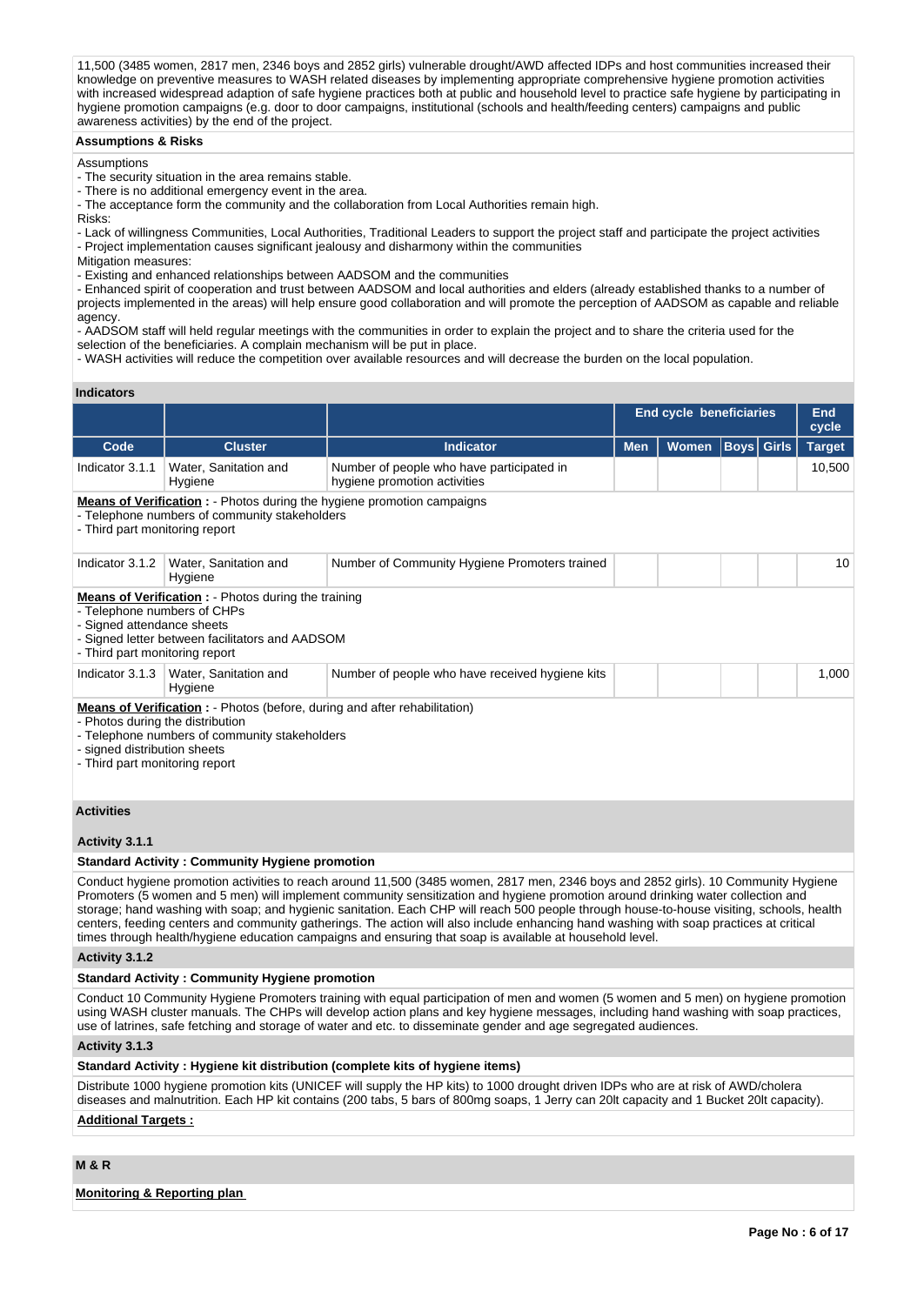11,500 (3485 women, 2817 men, 2346 boys and 2852 girls) vulnerable drought/AWD affected IDPs and host communities increased their knowledge on preventive measures to WASH related diseases by implementing appropriate comprehensive hygiene promotion activities with increased widespread adaption of safe hygiene practices both at public and household level to practice safe hygiene by participating in hygiene promotion campaigns (e.g. door to door campaigns, institutional (schools and health/feeding centers) campaigns and public awareness activities) by the end of the project.

#### **Assumptions & Risks**

Assumptions

- The security situation in the area remains stable.

- There is no additional emergency event in the area.

- The acceptance form the community and the collaboration from Local Authorities remain high.

Risks:

- Lack of willingness Communities, Local Authorities, Traditional Leaders to support the project staff and participate the project activities - Project implementation causes significant jealousy and disharmony within the communities

Mitigation measures:

- Existing and enhanced relationships between AADSOM and the communities

- Enhanced spirit of cooperation and trust between AADSOM and local authorities and elders (already established thanks to a number of projects implemented in the areas) will help ensure good collaboration and will promote the perception of AADSOM as capable and reliable agency.

- AADSOM staff will held regular meetings with the communities in order to explain the project and to share the criteria used for the selection of the beneficiaries. A complain mechanism will be put in place.

- WASH activities will reduce the competition over available resources and will decrease the burden on the local population.

## **Indicators**

|                                                                                                                                                                                                                                         |                                                                                                                                                                                                              |                                                                                                                                                                                                                                                                       | <b>End cycle beneficiaries</b> |       |                   |  | <b>End</b><br>cycle |  |  |
|-----------------------------------------------------------------------------------------------------------------------------------------------------------------------------------------------------------------------------------------|--------------------------------------------------------------------------------------------------------------------------------------------------------------------------------------------------------------|-----------------------------------------------------------------------------------------------------------------------------------------------------------------------------------------------------------------------------------------------------------------------|--------------------------------|-------|-------------------|--|---------------------|--|--|
| Code                                                                                                                                                                                                                                    | <b>Cluster</b>                                                                                                                                                                                               | <b>Indicator</b>                                                                                                                                                                                                                                                      | <b>Men</b>                     | Women | <b>Boys Girls</b> |  | <b>Target</b>       |  |  |
| Indicator 3.1.1                                                                                                                                                                                                                         | Water, Sanitation and<br>Hygiene                                                                                                                                                                             | Number of people who have participated in<br>hygiene promotion activities                                                                                                                                                                                             |                                |       |                   |  | 10,500              |  |  |
| <b>Means of Verification:</b> - Photos during the hygiene promotion campaigns<br>- Telephone numbers of community stakeholders<br>- Third part monitoring report                                                                        |                                                                                                                                                                                                              |                                                                                                                                                                                                                                                                       |                                |       |                   |  |                     |  |  |
| Indicator 3.1.2                                                                                                                                                                                                                         | Water, Sanitation and<br>Hygiene                                                                                                                                                                             | Number of Community Hygiene Promoters trained                                                                                                                                                                                                                         |                                |       |                   |  | 10                  |  |  |
|                                                                                                                                                                                                                                         | <b>Means of Verification:</b> - Photos during the training<br>- Telephone numbers of CHPs<br>- Signed attendance sheets<br>- Signed letter between facilitators and AADSOM<br>- Third part monitoring report |                                                                                                                                                                                                                                                                       |                                |       |                   |  |                     |  |  |
| Indicator 3.1.3                                                                                                                                                                                                                         | Water, Sanitation and<br>Hygiene                                                                                                                                                                             | Number of people who have received hygiene kits                                                                                                                                                                                                                       |                                |       |                   |  | 1,000               |  |  |
| <b>Means of Verification:</b> - Photos (before, during and after rehabilitation)<br>- Photos during the distribution<br>- Telephone numbers of community stakeholders<br>- signed distribution sheets<br>- Third part monitoring report |                                                                                                                                                                                                              |                                                                                                                                                                                                                                                                       |                                |       |                   |  |                     |  |  |
| <b>Activities</b>                                                                                                                                                                                                                       |                                                                                                                                                                                                              |                                                                                                                                                                                                                                                                       |                                |       |                   |  |                     |  |  |
| Activity 3.1.1                                                                                                                                                                                                                          |                                                                                                                                                                                                              |                                                                                                                                                                                                                                                                       |                                |       |                   |  |                     |  |  |
|                                                                                                                                                                                                                                         | <b>Standard Activity: Community Hygiene promotion</b>                                                                                                                                                        |                                                                                                                                                                                                                                                                       |                                |       |                   |  |                     |  |  |
|                                                                                                                                                                                                                                         |                                                                                                                                                                                                              | Conduct hygiene promotion activities to reach around 11,500 (3485 women, 2817 men, 2346 boys and 2852 girls). 10 Community Hygiene<br>Promoters (5 women and 5 men) will implement community sensitization and hygiene promotion around drinking water collection and |                                |       |                   |  |                     |  |  |

storage; hand washing with soap; and hygienic sanitation. Each CHP will reach 500 people through house-to-house visiting, schools, health centers, feeding centers and community gatherings. The action will also include enhancing hand washing with soap practices at critical times through health/hygiene education campaigns and ensuring that soap is available at household level.

**Activity 3.1.2** 

## **Standard Activity : Community Hygiene promotion**

Conduct 10 Community Hygiene Promoters training with equal participation of men and women (5 women and 5 men) on hygiene promotion using WASH cluster manuals. The CHPs will develop action plans and key hygiene messages, including hand washing with soap practices, use of latrines, safe fetching and storage of water and etc. to disseminate gender and age segregated audiences.

**Activity 3.1.3** 

**Standard Activity : Hygiene kit distribution (complete kits of hygiene items)**

Distribute 1000 hygiene promotion kits (UNICEF will supply the HP kits) to 1000 drought driven IDPs who are at risk of AWD/cholera diseases and malnutrition. Each HP kit contains (200 tabs, 5 bars of 800mg soaps, 1 Jerry can 20lt capacity and 1 Bucket 20lt capacity).

## **Additional Targets :**

## **M & R**

**Monitoring & Reporting plan**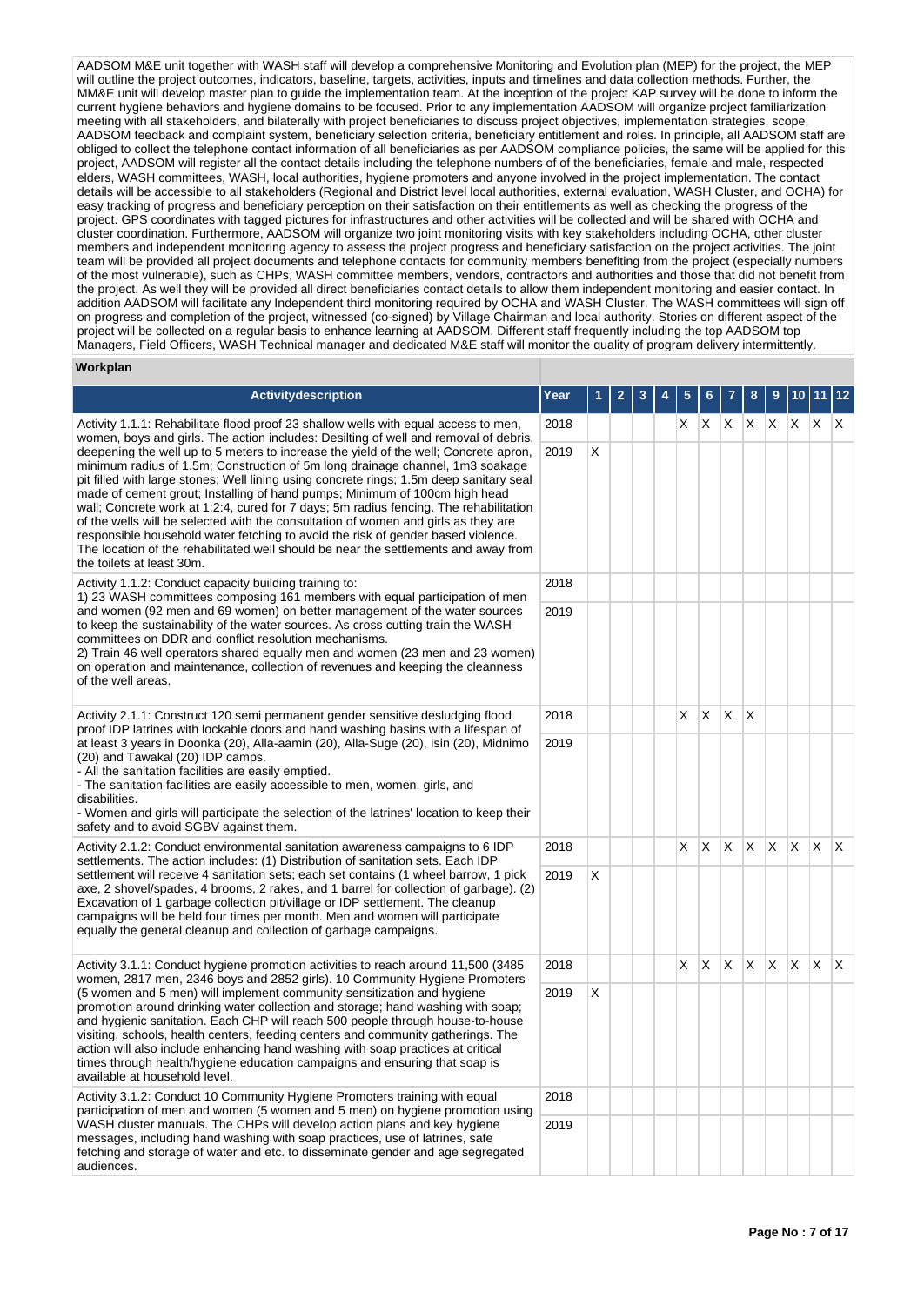AADSOM M&E unit together with WASH staff will develop a comprehensive Monitoring and Evolution plan (MEP) for the project, the MEP will outline the project outcomes, indicators, baseline, targets, activities, inputs and timelines and data collection methods. Further, the MM&E unit will develop master plan to guide the implementation team. At the inception of the project KAP survey will be done to inform the current hygiene behaviors and hygiene domains to be focused. Prior to any implementation AADSOM will organize project familiarization meeting with all stakeholders, and bilaterally with project beneficiaries to discuss project objectives, implementation strategies, scope, AADSOM feedback and complaint system, beneficiary selection criteria, beneficiary entitlement and roles. In principle, all AADSOM staff are obliged to collect the telephone contact information of all beneficiaries as per AADSOM compliance policies, the same will be applied for this project, AADSOM will register all the contact details including the telephone numbers of of the beneficiaries, female and male, respected elders, WASH committees, WASH, local authorities, hygiene promoters and anyone involved in the project implementation. The contact details will be accessible to all stakeholders (Regional and District level local authorities, external evaluation, WASH Cluster, and OCHA) for easy tracking of progress and beneficiary perception on their satisfaction on their entitlements as well as checking the progress of the project. GPS coordinates with tagged pictures for infrastructures and other activities will be collected and will be shared with OCHA and cluster coordination. Furthermore, AADSOM will organize two joint monitoring visits with key stakeholders including OCHA, other cluster members and independent monitoring agency to assess the project progress and beneficiary satisfaction on the project activities. The joint team will be provided all project documents and telephone contacts for community members benefiting from the project (especially numbers of the most vulnerable), such as CHPs, WASH committee members, vendors, contractors and authorities and those that did not benefit from the project. As well they will be provided all direct beneficiaries contact details to allow them independent monitoring and easier contact. In addition AADSOM will facilitate any Independent third monitoring required by OCHA and WASH Cluster. The WASH committees will sign off on progress and completion of the project, witnessed (co-signed) by Village Chairman and local authority. Stories on different aspect of the project will be collected on a regular basis to enhance learning at AADSOM. Different staff frequently including the top AADSOM top Managers, Field Officers, WASH Technical manager and dedicated M&E staff will monitor the quality of program delivery intermittently.

## **Workplan**

| <b>Activitydescription</b>                                                                                                                                                                                                                                                                                                                                                                                                                                                                                                                                                                                                                                                                                                            |      |   | $\overline{\mathbf{2}}$ | 3 | 5 | 6        |     | 8                      | 9        |              |    | 12 |
|---------------------------------------------------------------------------------------------------------------------------------------------------------------------------------------------------------------------------------------------------------------------------------------------------------------------------------------------------------------------------------------------------------------------------------------------------------------------------------------------------------------------------------------------------------------------------------------------------------------------------------------------------------------------------------------------------------------------------------------|------|---|-------------------------|---|---|----------|-----|------------------------|----------|--------------|----|----|
| Activity 1.1.1: Rehabilitate flood proof 23 shallow wells with equal access to men,<br>women, boys and girls. The action includes: Desilting of well and removal of debris,                                                                                                                                                                                                                                                                                                                                                                                                                                                                                                                                                           | 2018 |   |                         |   | X | X        | X.  | IX X                   |          | $\mathsf{X}$ | X. | X  |
| deepening the well up to 5 meters to increase the yield of the well; Concrete apron,<br>minimum radius of 1.5m; Construction of 5m long drainage channel, 1m3 soakage<br>pit filled with large stones; Well lining using concrete rings; 1.5m deep sanitary seal<br>made of cement grout; Installing of hand pumps; Minimum of 100cm high head<br>wall; Concrete work at 1:2:4, cured for 7 days; 5m radius fencing. The rehabilitation<br>of the wells will be selected with the consultation of women and girls as they are<br>responsible household water fetching to avoid the risk of gender based violence.<br>The location of the rehabilitated well should be near the settlements and away from<br>the toilets at least 30m. |      | Χ |                         |   |   |          |     |                        |          |              |    |    |
| Activity 1.1.2: Conduct capacity building training to:<br>1) 23 WASH committees composing 161 members with equal participation of men                                                                                                                                                                                                                                                                                                                                                                                                                                                                                                                                                                                                 | 2018 |   |                         |   |   |          |     |                        |          |              |    |    |
| and women (92 men and 69 women) on better management of the water sources<br>to keep the sustainability of the water sources. As cross cutting train the WASH<br>committees on DDR and conflict resolution mechanisms.<br>2) Train 46 well operators shared equally men and women (23 men and 23 women)<br>on operation and maintenance, collection of revenues and keeping the cleanness<br>of the well areas.                                                                                                                                                                                                                                                                                                                       |      |   |                         |   |   |          |     |                        |          |              |    |    |
| Activity 2.1.1: Construct 120 semi permanent gender sensitive desludging flood<br>2018<br>proof IDP latrines with lockable doors and hand washing basins with a lifespan of<br>at least 3 years in Doonka (20), Alla-aamin (20), Alla-Suge (20), Isin (20), Midnimo<br>2019<br>(20) and Tawakal (20) IDP camps.<br>- All the sanitation facilities are easily emptied.<br>- The sanitation facilities are easily accessible to men, women, girls, and<br>disabilities.<br>- Women and girls will participate the selection of the latrines' location to keep their<br>safety and to avoid SGBV against them.                                                                                                                          |      |   |                         |   | X | $\times$ | IX. | $\mathsf{I}\mathsf{X}$ |          |              |    |    |
|                                                                                                                                                                                                                                                                                                                                                                                                                                                                                                                                                                                                                                                                                                                                       |      |   |                         |   |   |          |     |                        |          |              |    |    |
| Activity 2.1.2: Conduct environmental sanitation awareness campaigns to 6 IDP<br>settlements. The action includes: (1) Distribution of sanitation sets. Each IDP                                                                                                                                                                                                                                                                                                                                                                                                                                                                                                                                                                      | 2018 |   |                         |   | X | X        | X   | X                      | <b>X</b> | $\times$     | X. | ΙX |
| settlement will receive 4 sanitation sets; each set contains (1 wheel barrow, 1 pick<br>axe, 2 shovel/spades, 4 brooms, 2 rakes, and 1 barrel for collection of garbage). (2)<br>Excavation of 1 garbage collection pit/village or IDP settlement. The cleanup<br>campaigns will be held four times per month. Men and women will participate<br>equally the general cleanup and collection of garbage campaigns.                                                                                                                                                                                                                                                                                                                     | 2019 | X |                         |   |   |          |     |                        |          |              |    |    |
| Activity 3.1.1: Conduct hygiene promotion activities to reach around 11,500 (3485)<br>women, 2817 men, 2346 boys and 2852 girls). 10 Community Hygiene Promoters                                                                                                                                                                                                                                                                                                                                                                                                                                                                                                                                                                      | 2018 |   |                         |   | X | X        | X   | X                      | X.       | X.           | X  | X  |
| (5 women and 5 men) will implement community sensitization and hygiene<br>2019<br>promotion around drinking water collection and storage; hand washing with soap;<br>and hygienic sanitation. Each CHP will reach 500 people through house-to-house<br>visiting, schools, health centers, feeding centers and community gatherings. The<br>action will also include enhancing hand washing with soap practices at critical<br>times through health/hygiene education campaigns and ensuring that soap is<br>available at household level.                                                                                                                                                                                             |      | Χ |                         |   |   |          |     |                        |          |              |    |    |
| Activity 3.1.2: Conduct 10 Community Hygiene Promoters training with equal<br>participation of men and women (5 women and 5 men) on hygiene promotion using                                                                                                                                                                                                                                                                                                                                                                                                                                                                                                                                                                           | 2018 |   |                         |   |   |          |     |                        |          |              |    |    |
| WASH cluster manuals. The CHPs will develop action plans and key hygiene<br>messages, including hand washing with soap practices, use of latrines, safe<br>fetching and storage of water and etc. to disseminate gender and age segregated<br>audiences.                                                                                                                                                                                                                                                                                                                                                                                                                                                                              |      |   |                         |   |   |          |     |                        |          |              |    |    |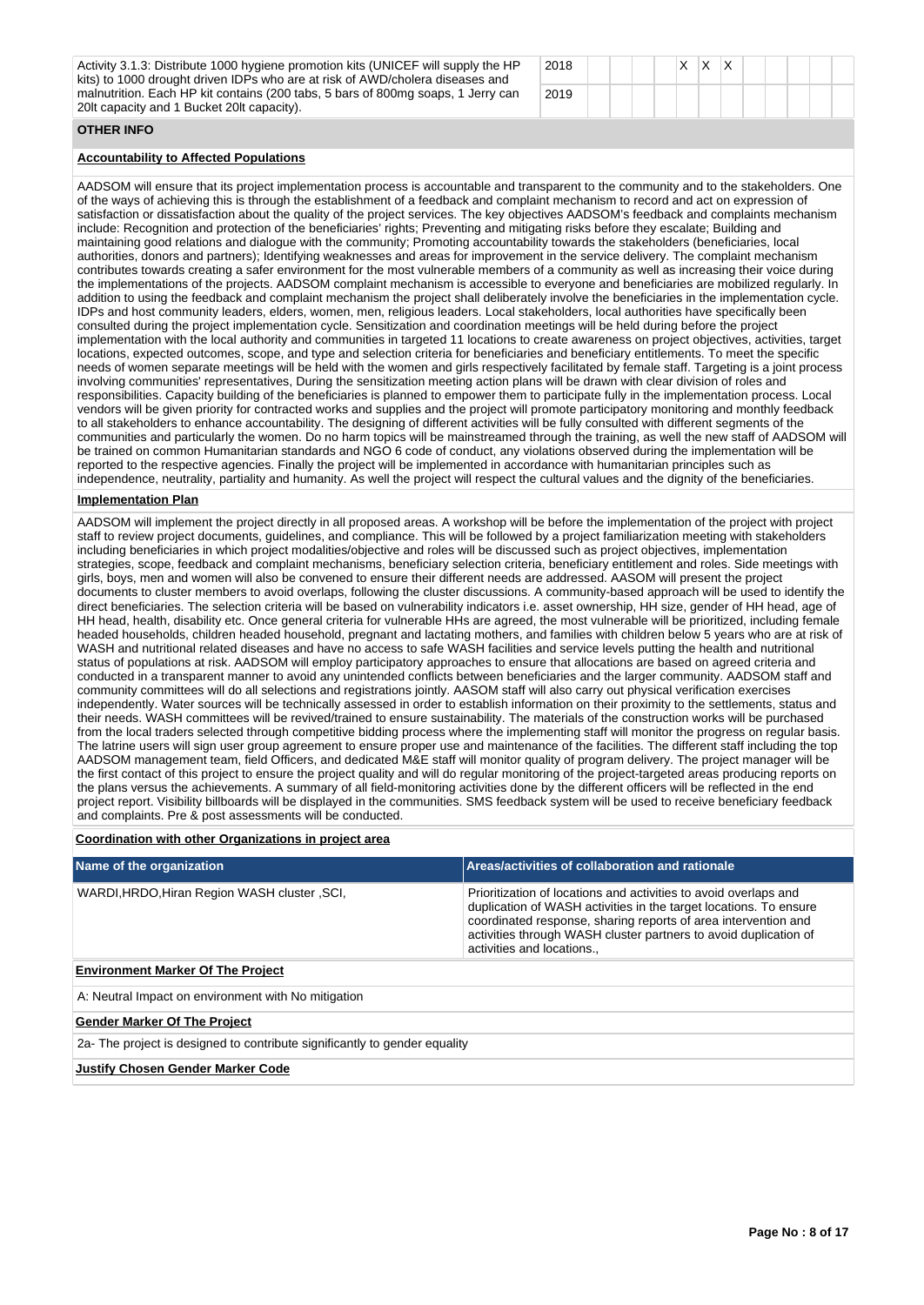Activity 3.1.3: Distribute 1000 hygiene promotion kits (UNICEF will supply the HP kits) to 1000 drought driven IDPs who are at risk of AWD/cholera diseases and malnutrition. Each HP kit contains (200 tabs, 5 bars of 800mg soaps, 1 Jerry can 20lt capacity and 1 Bucket 20lt capacity).

| 2018 | ‼X ∣ | $\mathsf{X}$ | $\mathsf{I} \mathsf{X}$ |  |  |
|------|------|--------------|-------------------------|--|--|
| 2019 |      |              |                         |  |  |

## **OTHER INFO**

## **Accountability to Affected Populations**

AADSOM will ensure that its project implementation process is accountable and transparent to the community and to the stakeholders. One of the ways of achieving this is through the establishment of a feedback and complaint mechanism to record and act on expression of satisfaction or dissatisfaction about the quality of the project services. The key objectives AADSOM's feedback and complaints mechanism include: Recognition and protection of the beneficiaries' rights; Preventing and mitigating risks before they escalate; Building and maintaining good relations and dialogue with the community; Promoting accountability towards the stakeholders (beneficiaries, local authorities, donors and partners); Identifying weaknesses and areas for improvement in the service delivery. The complaint mechanism contributes towards creating a safer environment for the most vulnerable members of a community as well as increasing their voice during the implementations of the projects. AADSOM complaint mechanism is accessible to everyone and beneficiaries are mobilized regularly. In addition to using the feedback and complaint mechanism the project shall deliberately involve the beneficiaries in the implementation cycle. IDPs and host community leaders, elders, women, men, religious leaders. Local stakeholders, local authorities have specifically been consulted during the project implementation cycle. Sensitization and coordination meetings will be held during before the project implementation with the local authority and communities in targeted 11 locations to create awareness on project objectives, activities, target locations, expected outcomes, scope, and type and selection criteria for beneficiaries and beneficiary entitlements. To meet the specific needs of women separate meetings will be held with the women and girls respectively facilitated by female staff. Targeting is a joint process involving communities' representatives, During the sensitization meeting action plans will be drawn with clear division of roles and responsibilities. Capacity building of the beneficiaries is planned to empower them to participate fully in the implementation process. Local vendors will be given priority for contracted works and supplies and the project will promote participatory monitoring and monthly feedback to all stakeholders to enhance accountability. The designing of different activities will be fully consulted with different segments of the communities and particularly the women. Do no harm topics will be mainstreamed through the training, as well the new staff of AADSOM will be trained on common Humanitarian standards and NGO 6 code of conduct, any violations observed during the implementation will be reported to the respective agencies. Finally the project will be implemented in accordance with humanitarian principles such as independence, neutrality, partiality and humanity. As well the project will respect the cultural values and the dignity of the beneficiaries.

## **Implementation Plan**

AADSOM will implement the project directly in all proposed areas. A workshop will be before the implementation of the project with project staff to review project documents, guidelines, and compliance. This will be followed by a project familiarization meeting with stakeholders including beneficiaries in which project modalities/objective and roles will be discussed such as project objectives, implementation strategies, scope, feedback and complaint mechanisms, beneficiary selection criteria, beneficiary entitlement and roles. Side meetings with girls, boys, men and women will also be convened to ensure their different needs are addressed. AASOM will present the project documents to cluster members to avoid overlaps, following the cluster discussions. A community-based approach will be used to identify the direct beneficiaries. The selection criteria will be based on vulnerability indicators i.e. asset ownership, HH size, gender of HH head, age of HH head, health, disability etc. Once general criteria for vulnerable HHs are agreed, the most vulnerable will be prioritized, including female headed households, children headed household, pregnant and lactating mothers, and families with children below 5 years who are at risk of WASH and nutritional related diseases and have no access to safe WASH facilities and service levels putting the health and nutritional status of populations at risk. AADSOM will employ participatory approaches to ensure that allocations are based on agreed criteria and conducted in a transparent manner to avoid any unintended conflicts between beneficiaries and the larger community. AADSOM staff and community committees will do all selections and registrations jointly. AASOM staff will also carry out physical verification exercises independently. Water sources will be technically assessed in order to establish information on their proximity to the settlements, status and their needs. WASH committees will be revived/trained to ensure sustainability. The materials of the construction works will be purchased from the local traders selected through competitive bidding process where the implementing staff will monitor the progress on regular basis. The latrine users will sign user group agreement to ensure proper use and maintenance of the facilities. The different staff including the top AADSOM management team, field Officers, and dedicated M&E staff will monitor quality of program delivery. The project manager will be the first contact of this project to ensure the project quality and will do regular monitoring of the project-targeted areas producing reports on the plans versus the achievements. A summary of all field-monitoring activities done by the different officers will be reflected in the end project report. Visibility billboards will be displayed in the communities. SMS feedback system will be used to receive beneficiary feedback and complaints. Pre & post assessments will be conducted.

#### **Coordination with other Organizations in project area**

| Name of the organization                                                   | Areas/activities of collaboration and rationale                                                                                                                                                                                                                                                         |  |  |  |  |  |  |
|----------------------------------------------------------------------------|---------------------------------------------------------------------------------------------------------------------------------------------------------------------------------------------------------------------------------------------------------------------------------------------------------|--|--|--|--|--|--|
| WARDI, HRDO, Hiran Region WASH cluster, SCI,                               | Prioritization of locations and activities to avoid overlaps and<br>duplication of WASH activities in the target locations. To ensure<br>coordinated response, sharing reports of area intervention and<br>activities through WASH cluster partners to avoid duplication of<br>activities and locations |  |  |  |  |  |  |
| <b>Environment Marker Of The Project</b>                                   |                                                                                                                                                                                                                                                                                                         |  |  |  |  |  |  |
| A: Neutral Impact on environment with No mitigation                        |                                                                                                                                                                                                                                                                                                         |  |  |  |  |  |  |
| <b>Gender Marker Of The Project</b>                                        |                                                                                                                                                                                                                                                                                                         |  |  |  |  |  |  |
| 2a- The project is designed to contribute significantly to gender equality |                                                                                                                                                                                                                                                                                                         |  |  |  |  |  |  |
| <b>Justify Chosen Gender Marker Code</b>                                   |                                                                                                                                                                                                                                                                                                         |  |  |  |  |  |  |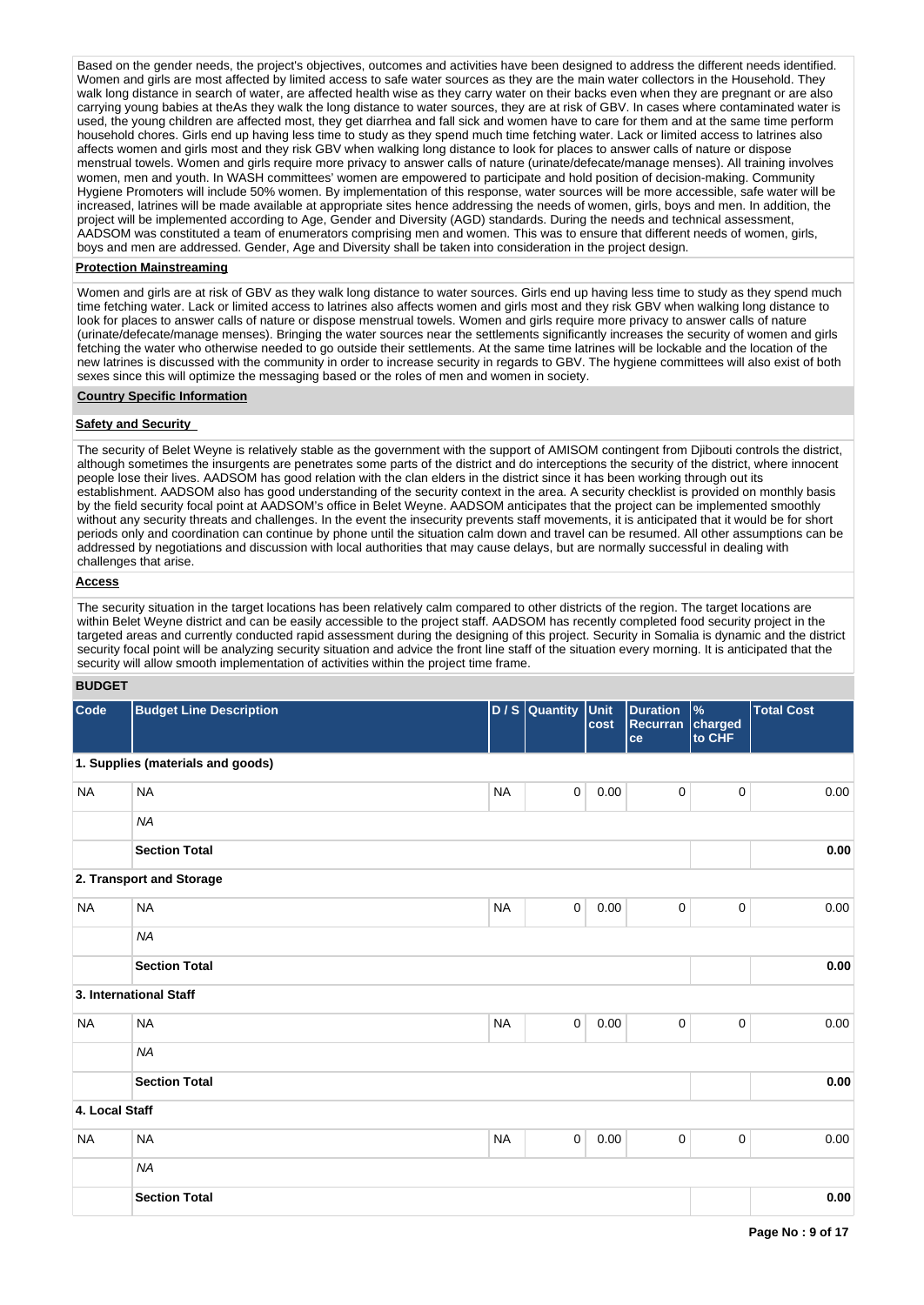Based on the gender needs, the project's objectives, outcomes and activities have been designed to address the different needs identified. Women and girls are most affected by limited access to safe water sources as they are the main water collectors in the Household. They walk long distance in search of water, are affected health wise as they carry water on their backs even when they are pregnant or are also carrying young babies at theAs they walk the long distance to water sources, they are at risk of GBV. In cases where contaminated water is used, the young children are affected most, they get diarrhea and fall sick and women have to care for them and at the same time perform household chores. Girls end up having less time to study as they spend much time fetching water. Lack or limited access to latrines also affects women and girls most and they risk GBV when walking long distance to look for places to answer calls of nature or dispose menstrual towels. Women and girls require more privacy to answer calls of nature (urinate/defecate/manage menses). All training involves women, men and youth. In WASH committees' women are empowered to participate and hold position of decision-making. Community Hygiene Promoters will include 50% women. By implementation of this response, water sources will be more accessible, safe water will be increased, latrines will be made available at appropriate sites hence addressing the needs of women, girls, boys and men. In addition, the project will be implemented according to Age, Gender and Diversity (AGD) standards. During the needs and technical assessment, AADSOM was constituted a team of enumerators comprising men and women. This was to ensure that different needs of women, girls, boys and men are addressed. Gender, Age and Diversity shall be taken into consideration in the project design.

#### **Protection Mainstreaming**

Women and girls are at risk of GBV as they walk long distance to water sources. Girls end up having less time to study as they spend much time fetching water. Lack or limited access to latrines also affects women and girls most and they risk GBV when walking long distance to look for places to answer calls of nature or dispose menstrual towels. Women and girls require more privacy to answer calls of nature (urinate/defecate/manage menses). Bringing the water sources near the settlements significantly increases the security of women and girls fetching the water who otherwise needed to go outside their settlements. At the same time latrines will be lockable and the location of the new latrines is discussed with the community in order to increase security in regards to GBV. The hygiene committees will also exist of both sexes since this will optimize the messaging based or the roles of men and women in society.

## **Country Specific Information**

### **Safety and Security**

The security of Belet Weyne is relatively stable as the government with the support of AMISOM contingent from Djibouti controls the district, although sometimes the insurgents are penetrates some parts of the district and do interceptions the security of the district, where innocent people lose their lives. AADSOM has good relation with the clan elders in the district since it has been working through out its establishment. AADSOM also has good understanding of the security context in the area. A security checklist is provided on monthly basis by the field security focal point at AADSOM's office in Belet Weyne. AADSOM anticipates that the project can be implemented smoothly without any security threats and challenges. In the event the insecurity prevents staff movements, it is anticipated that it would be for short periods only and coordination can continue by phone until the situation calm down and travel can be resumed. All other assumptions can be addressed by negotiations and discussion with local authorities that may cause delays, but are normally successful in dealing with challenges that arise.

## **Access**

The security situation in the target locations has been relatively calm compared to other districts of the region. The target locations are within Belet Weyne district and can be easily accessible to the project staff. AADSOM has recently completed food security project in the targeted areas and currently conducted rapid assessment during the designing of this project. Security in Somalia is dynamic and the district security focal point will be analyzing security situation and advice the front line staff of the situation every morning. It is anticipated that the security will allow smooth implementation of activities within the project time frame.

## **BUDGET**

| Code           | <b>Budget Line Description</b>    |           | D / S Quantity | Unit<br>cost | <b>Duration</b><br>Recurran charged<br>ce | $\%$<br>to CHF | <b>Total Cost</b> |
|----------------|-----------------------------------|-----------|----------------|--------------|-------------------------------------------|----------------|-------------------|
|                | 1. Supplies (materials and goods) |           |                |              |                                           |                |                   |
| <b>NA</b>      | <b>NA</b>                         | <b>NA</b> | $\mathbf 0$    | $0.00\,$     | 0                                         | $\pmb{0}$      | 0.00              |
|                | <b>NA</b>                         |           |                |              |                                           |                |                   |
|                | <b>Section Total</b>              |           |                |              |                                           |                | 0.00              |
|                | 2. Transport and Storage          |           |                |              |                                           |                |                   |
| <b>NA</b>      | <b>NA</b>                         | <b>NA</b> | 0              | 0.00         | 0                                         | $\mathbf 0$    | 0.00              |
|                | <b>NA</b>                         |           |                |              |                                           |                |                   |
|                | <b>Section Total</b>              |           |                |              |                                           |                | 0.00              |
|                | 3. International Staff            |           |                |              |                                           |                |                   |
| <b>NA</b>      | <b>NA</b>                         | <b>NA</b> | $\pmb{0}$      | $0.00\,$     | 0                                         | $\mathbf 0$    | 0.00              |
|                | <b>NA</b>                         |           |                |              |                                           |                |                   |
|                | <b>Section Total</b>              |           |                |              |                                           |                | 0.00              |
| 4. Local Staff |                                   |           |                |              |                                           |                |                   |
| <b>NA</b>      | <b>NA</b>                         | <b>NA</b> | 0              | 0.00         | 0                                         | $\pmb{0}$      | 0.00              |
|                | <b>NA</b>                         |           |                |              |                                           |                |                   |
|                | <b>Section Total</b>              |           |                |              |                                           |                | 0.00              |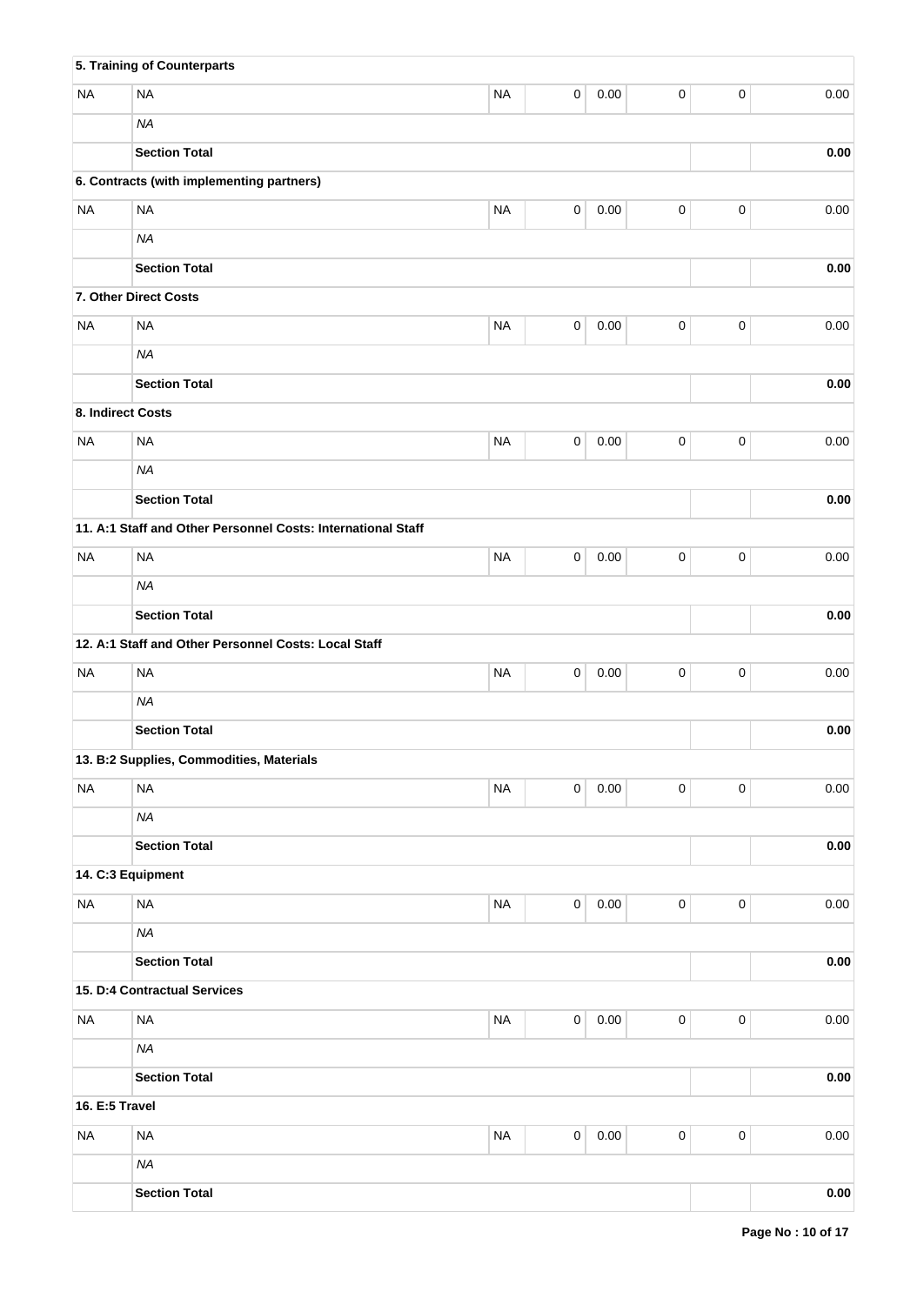|                   | 5. Training of Counterparts                                  |           |             |          |                     |           |            |
|-------------------|--------------------------------------------------------------|-----------|-------------|----------|---------------------|-----------|------------|
| <b>NA</b>         | <b>NA</b>                                                    | <b>NA</b> | 0           | 0.00     | 0                   | $\pmb{0}$ | 0.00       |
|                   | <b>NA</b>                                                    |           |             |          |                     |           |            |
|                   | <b>Section Total</b>                                         |           |             |          |                     |           | 0.00       |
|                   | 6. Contracts (with implementing partners)                    |           |             |          |                     |           |            |
| <b>NA</b>         | <b>NA</b>                                                    | <b>NA</b> | 0           | 0.00     | 0                   | $\pmb{0}$ | 0.00       |
|                   | <b>NA</b>                                                    |           |             |          |                     |           |            |
|                   | <b>Section Total</b>                                         |           |             |          |                     |           | 0.00       |
|                   | 7. Other Direct Costs                                        |           |             |          |                     |           |            |
| <b>NA</b>         | <b>NA</b>                                                    | <b>NA</b> | $\pmb{0}$   | 0.00     | 0                   | $\pmb{0}$ | 0.00       |
|                   | <b>NA</b>                                                    |           |             |          |                     |           |            |
|                   | <b>Section Total</b>                                         |           |             |          |                     |           | $0.00\,$   |
| 8. Indirect Costs |                                                              |           |             |          |                     |           |            |
| <b>NA</b>         | <b>NA</b>                                                    | <b>NA</b> | 0           | 0.00     | 0                   | $\pmb{0}$ | 0.00       |
|                   | <b>NA</b>                                                    |           |             |          |                     |           |            |
|                   | <b>Section Total</b>                                         |           |             |          |                     |           | $0.00\,$   |
|                   | 11. A:1 Staff and Other Personnel Costs: International Staff |           |             |          |                     |           |            |
| <b>NA</b>         | <b>NA</b>                                                    | <b>NA</b> | 0           | 0.00     | 0                   | $\pmb{0}$ | 0.00       |
|                   | <b>NA</b>                                                    |           |             |          |                     |           |            |
|                   | <b>Section Total</b>                                         |           |             |          |                     |           | 0.00       |
|                   | 12. A:1 Staff and Other Personnel Costs: Local Staff         |           |             |          |                     |           |            |
| <b>NA</b>         | <b>NA</b>                                                    | <b>NA</b> | 0           | 0.00     | $\mathsf 0$         | $\pmb{0}$ | 0.00       |
|                   | <b>NA</b>                                                    |           |             |          |                     |           |            |
|                   | <b>Section Total</b>                                         |           |             |          |                     |           | 0.00       |
|                   | 13. B:2 Supplies, Commodities, Materials                     |           |             |          |                     |           |            |
| <b>NA</b>         | <b>NA</b>                                                    | <b>NA</b> | $\mathbf 0$ | $0.00\,$ | 0                   | $\pmb{0}$ | 0.00       |
|                   | <b>NA</b>                                                    |           |             |          |                     |           |            |
|                   | <b>Section Total</b>                                         |           |             |          |                     |           | 0.00       |
|                   | 14. C:3 Equipment                                            |           |             |          |                     |           |            |
| <b>NA</b>         | <b>NA</b>                                                    | <b>NA</b> | $\mathsf 0$ | $0.00\,$ | $\mathsf 0$         | $\pmb{0}$ | 0.00       |
|                   | <b>NA</b>                                                    |           |             |          |                     |           |            |
|                   | <b>Section Total</b>                                         |           |             |          |                     |           | $0.00\,$   |
|                   | 15. D:4 Contractual Services                                 |           |             |          |                     |           |            |
| <b>NA</b>         | <b>NA</b>                                                    | <b>NA</b> | $\mathbf 0$ | $0.00\,$ | $\mathsf 0$         | $\pmb{0}$ | 0.00       |
|                   | <b>NA</b>                                                    |           |             |          |                     |           |            |
|                   | <b>Section Total</b>                                         |           |             |          |                     |           | $\bf 0.00$ |
| 16. E:5 Travel    |                                                              |           |             |          |                     |           |            |
| <b>NA</b>         | <b>NA</b>                                                    | <b>NA</b> | $\mathsf 0$ | $0.00\,$ | $\mathsf{O}\xspace$ | $\pmb{0}$ | 0.00       |
|                   | <b>NA</b>                                                    |           |             |          |                     |           |            |
|                   | <b>Section Total</b>                                         |           |             |          |                     |           | $\bf 0.00$ |
|                   |                                                              |           |             |          |                     |           |            |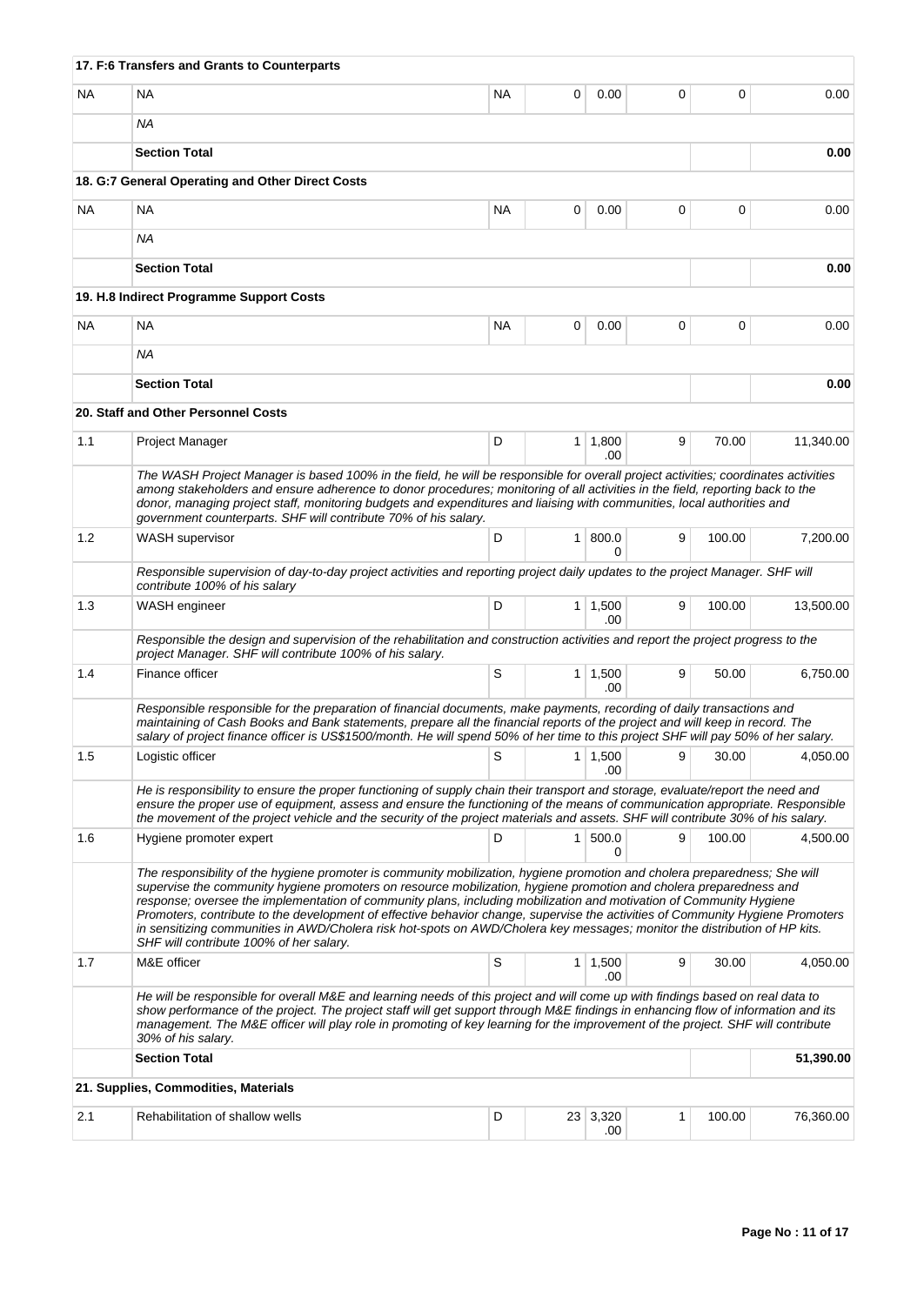|           | 17. F:6 Transfers and Grants to Counterparts                                                                                                                                                                                                                                                                                                                                                                                                                                                                                                                                                                                                                                       |           |                |                        |   |        |           |
|-----------|------------------------------------------------------------------------------------------------------------------------------------------------------------------------------------------------------------------------------------------------------------------------------------------------------------------------------------------------------------------------------------------------------------------------------------------------------------------------------------------------------------------------------------------------------------------------------------------------------------------------------------------------------------------------------------|-----------|----------------|------------------------|---|--------|-----------|
| <b>NA</b> | <b>NA</b>                                                                                                                                                                                                                                                                                                                                                                                                                                                                                                                                                                                                                                                                          | <b>NA</b> | 0              | 0.00                   | 0 | 0      | 0.00      |
|           | ΝA                                                                                                                                                                                                                                                                                                                                                                                                                                                                                                                                                                                                                                                                                 |           |                |                        |   |        |           |
|           | <b>Section Total</b>                                                                                                                                                                                                                                                                                                                                                                                                                                                                                                                                                                                                                                                               |           |                |                        |   |        | 0.00      |
|           | 18. G:7 General Operating and Other Direct Costs                                                                                                                                                                                                                                                                                                                                                                                                                                                                                                                                                                                                                                   |           |                |                        |   |        |           |
| <b>NA</b> | NA                                                                                                                                                                                                                                                                                                                                                                                                                                                                                                                                                                                                                                                                                 | NA        | 0              | 0.00                   | 0 | 0      | 0.00      |
|           | <b>NA</b>                                                                                                                                                                                                                                                                                                                                                                                                                                                                                                                                                                                                                                                                          |           |                |                        |   |        |           |
|           | <b>Section Total</b>                                                                                                                                                                                                                                                                                                                                                                                                                                                                                                                                                                                                                                                               |           |                |                        |   |        | 0.00      |
|           | 19. H.8 Indirect Programme Support Costs                                                                                                                                                                                                                                                                                                                                                                                                                                                                                                                                                                                                                                           |           |                |                        |   |        |           |
| <b>NA</b> | <b>NA</b>                                                                                                                                                                                                                                                                                                                                                                                                                                                                                                                                                                                                                                                                          | NA        | 0              | 0.00                   | 0 | 0      | 0.00      |
|           | NA.                                                                                                                                                                                                                                                                                                                                                                                                                                                                                                                                                                                                                                                                                |           |                |                        |   |        |           |
|           | <b>Section Total</b>                                                                                                                                                                                                                                                                                                                                                                                                                                                                                                                                                                                                                                                               |           |                |                        |   |        | 0.00      |
|           | 20. Staff and Other Personnel Costs                                                                                                                                                                                                                                                                                                                                                                                                                                                                                                                                                                                                                                                |           |                |                        |   |        |           |
| 1.1       | Project Manager                                                                                                                                                                                                                                                                                                                                                                                                                                                                                                                                                                                                                                                                    | D         |                | $1 \mid 1,800$<br>.00  | 9 | 70.00  | 11,340.00 |
|           | The WASH Project Manager is based 100% in the field, he will be responsible for overall project activities; coordinates activities<br>among stakeholders and ensure adherence to donor procedures; monitoring of all activities in the field, reporting back to the<br>donor, managing project staff, monitoring budgets and expenditures and liaising with communities, local authorities and<br>government counterparts. SHF will contribute 70% of his salary.                                                                                                                                                                                                                  |           |                |                        |   |        |           |
| 1.2       | <b>WASH</b> supervisor                                                                                                                                                                                                                                                                                                                                                                                                                                                                                                                                                                                                                                                             | D         | 1 <sup>1</sup> | 800.0<br>O             | 9 | 100.00 | 7,200.00  |
|           | Responsible supervision of day-to-day project activities and reporting project daily updates to the project Manager. SHF will<br>contribute 100% of his salary                                                                                                                                                                                                                                                                                                                                                                                                                                                                                                                     |           |                |                        |   |        |           |
| 1.3       | WASH engineer                                                                                                                                                                                                                                                                                                                                                                                                                                                                                                                                                                                                                                                                      | D         |                | $1 \mid 1,500$<br>.00  | 9 | 100.00 | 13,500.00 |
|           | Responsible the design and supervision of the rehabilitation and construction activities and report the project progress to the<br>project Manager. SHF will contribute 100% of his salary.                                                                                                                                                                                                                                                                                                                                                                                                                                                                                        |           |                |                        |   |        |           |
| 1.4       | Finance officer                                                                                                                                                                                                                                                                                                                                                                                                                                                                                                                                                                                                                                                                    | S         |                | $1 \mid 1,500$<br>.00. | 9 | 50.00  | 6.750.00  |
|           | Responsible responsible for the preparation of financial documents, make payments, recording of daily transactions and<br>maintaining of Cash Books and Bank statements, prepare all the financial reports of the project and will keep in record. The<br>salary of project finance officer is US\$1500/month. He will spend 50% of her time to this project SHF will pay 50% of her salary.                                                                                                                                                                                                                                                                                       |           |                |                        |   |        |           |
| 1.5       | Logistic officer                                                                                                                                                                                                                                                                                                                                                                                                                                                                                                                                                                                                                                                                   | $\vert s$ |                | 1   1,500<br>.00       | 9 | 30.00  | 4,050.00  |
|           | He is responsibility to ensure the proper functioning of supply chain their transport and storage, evaluate/report the need and<br>ensure the proper use of equipment, assess and ensure the functioning of the means of communication appropriate. Responsible<br>the movement of the project vehicle and the security of the project materials and assets. SHF will contribute 30% of his salary.                                                                                                                                                                                                                                                                                |           |                |                        |   |        |           |
| 1.6       | Hygiene promoter expert                                                                                                                                                                                                                                                                                                                                                                                                                                                                                                                                                                                                                                                            | D         | 1 <sup>1</sup> | 500.0<br>0             | 9 | 100.00 | 4,500.00  |
|           | The responsibility of the hygiene promoter is community mobilization, hygiene promotion and cholera preparedness; She will<br>supervise the community hygiene promoters on resource mobilization, hygiene promotion and cholera preparedness and<br>response; oversee the implementation of community plans, including mobilization and motivation of Community Hygiene<br>Promoters, contribute to the development of effective behavior change, supervise the activities of Community Hygiene Promoters<br>in sensitizing communities in AWD/Cholera risk hot-spots on AWD/Cholera key messages; monitor the distribution of HP kits.<br>SHF will contribute 100% of her salary. |           |                |                        |   |        |           |
| 1.7       | M&E officer                                                                                                                                                                                                                                                                                                                                                                                                                                                                                                                                                                                                                                                                        | S         |                | $1 \mid 1,500$<br>.00  | 9 | 30.00  | 4,050.00  |
|           | He will be responsible for overall M&E and learning needs of this project and will come up with findings based on real data to<br>show performance of the project. The project staff will get support through M&E findings in enhancing flow of information and its<br>management. The M&E officer will play role in promoting of key learning for the improvement of the project. SHF will contribute<br>30% of his salary.                                                                                                                                                                                                                                                       |           |                |                        |   |        |           |
|           | <b>Section Total</b>                                                                                                                                                                                                                                                                                                                                                                                                                                                                                                                                                                                                                                                               |           |                |                        |   |        | 51,390.00 |
|           | 21. Supplies, Commodities, Materials                                                                                                                                                                                                                                                                                                                                                                                                                                                                                                                                                                                                                                               |           |                |                        |   |        |           |
| 2.1       | Rehabilitation of shallow wells                                                                                                                                                                                                                                                                                                                                                                                                                                                                                                                                                                                                                                                    | D         |                | 23 3,320<br>.00        | 1 | 100.00 | 76,360.00 |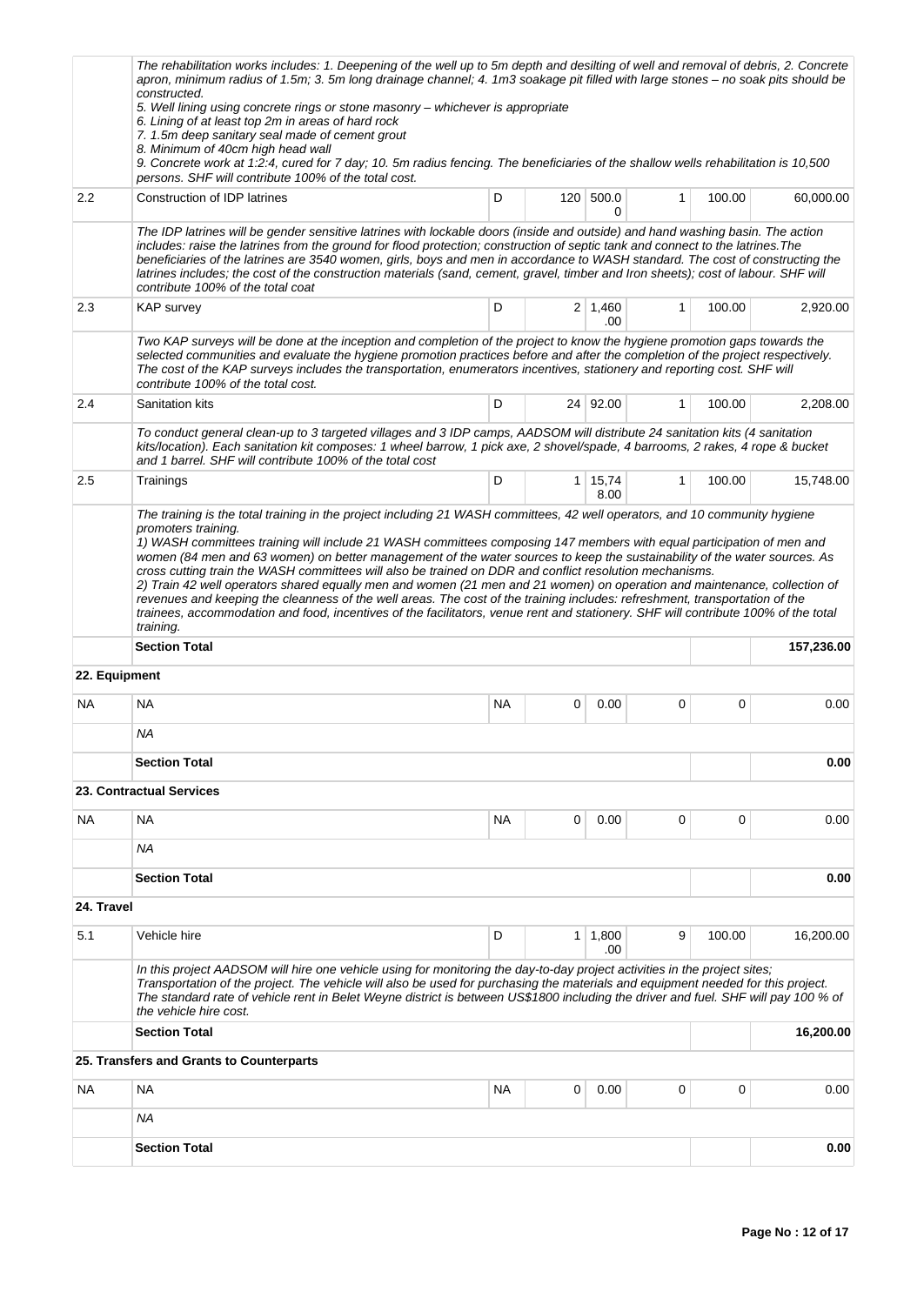|               | The rehabilitation works includes: 1. Deepening of the well up to 5m depth and desilting of well and removal of debris, 2. Concrete<br>apron, minimum radius of 1.5m; 3. 5m long drainage channel; 4. 1m3 soakage pit filled with large stones – no soak pits should be<br>constructed.<br>5. Well lining using concrete rings or stone masonry - whichever is appropriate<br>6. Lining of at least top 2m in areas of hard rock<br>7. 1.5m deep sanitary seal made of cement grout<br>8. Minimum of 40cm high head wall<br>9. Concrete work at 1:2:4, cured for 7 day; 10. 5m radius fencing. The beneficiaries of the shallow wells rehabilitation is 10,500                                                                                                                                       |           |              |                        |              |        |            |  |
|---------------|------------------------------------------------------------------------------------------------------------------------------------------------------------------------------------------------------------------------------------------------------------------------------------------------------------------------------------------------------------------------------------------------------------------------------------------------------------------------------------------------------------------------------------------------------------------------------------------------------------------------------------------------------------------------------------------------------------------------------------------------------------------------------------------------------|-----------|--------------|------------------------|--------------|--------|------------|--|
|               | persons. SHF will contribute 100% of the total cost.                                                                                                                                                                                                                                                                                                                                                                                                                                                                                                                                                                                                                                                                                                                                                 |           |              |                        |              |        |            |  |
| 2.2           | Construction of IDP latrines                                                                                                                                                                                                                                                                                                                                                                                                                                                                                                                                                                                                                                                                                                                                                                         | D         |              | 120 500.0<br>0         | $\mathbf{1}$ | 100.00 | 60,000.00  |  |
|               | The IDP latrines will be gender sensitive latrines with lockable doors (inside and outside) and hand washing basin. The action<br>includes: raise the latrines from the ground for flood protection; construction of septic tank and connect to the latrines. The<br>beneficiaries of the latrines are 3540 women, girls, boys and men in accordance to WASH standard. The cost of constructing the<br>latrines includes; the cost of the construction materials (sand, cement, gravel, timber and Iron sheets); cost of labour. SHF will<br>contribute 100% of the total coat                                                                                                                                                                                                                       |           |              |                        |              |        |            |  |
| 2.3           | <b>KAP</b> survey                                                                                                                                                                                                                                                                                                                                                                                                                                                                                                                                                                                                                                                                                                                                                                                    | D         |              | $2 \mid 1,460$<br>.00  | $\mathbf{1}$ | 100.00 | 2,920.00   |  |
|               | Two KAP surveys will be done at the inception and completion of the project to know the hygiene promotion gaps towards the<br>selected communities and evaluate the hygiene promotion practices before and after the completion of the project respectively.<br>The cost of the KAP surveys includes the transportation, enumerators incentives, stationery and reporting cost. SHF will<br>contribute 100% of the total cost.                                                                                                                                                                                                                                                                                                                                                                       |           |              |                        |              |        |            |  |
| 2.4           | Sanitation kits                                                                                                                                                                                                                                                                                                                                                                                                                                                                                                                                                                                                                                                                                                                                                                                      | D         |              | 24 92.00               | $\mathbf{1}$ | 100.00 | 2,208.00   |  |
|               | To conduct general clean-up to 3 targeted villages and 3 IDP camps, AADSOM will distribute 24 sanitation kits (4 sanitation<br>kits/location). Each sanitation kit composes: 1 wheel barrow, 1 pick axe, 2 shovel/spade, 4 barrooms, 2 rakes, 4 rope & bucket<br>and 1 barrel. SHF will contribute 100% of the total cost                                                                                                                                                                                                                                                                                                                                                                                                                                                                            |           |              |                        |              |        |            |  |
| 2.5           | Trainings                                                                                                                                                                                                                                                                                                                                                                                                                                                                                                                                                                                                                                                                                                                                                                                            | D         |              | $1 \mid 15,74$<br>8.00 | $\mathbf{1}$ | 100.00 | 15,748.00  |  |
|               | 1) WASH committees training will include 21 WASH committees composing 147 members with equal participation of men and<br>women (84 men and 63 women) on better management of the water sources to keep the sustainability of the water sources. As<br>cross cutting train the WASH committees will also be trained on DDR and conflict resolution mechanisms.<br>2) Train 42 well operators shared equally men and women (21 men and 21 women) on operation and maintenance, collection of<br>revenues and keeping the cleanness of the well areas. The cost of the training includes: refreshment, transportation of the<br>trainees, accommodation and food, incentives of the facilitators, venue rent and stationery. SHF will contribute 100% of the total<br>training.<br><b>Section Total</b> |           |              |                        |              |        | 157,236.00 |  |
| 22. Equipment |                                                                                                                                                                                                                                                                                                                                                                                                                                                                                                                                                                                                                                                                                                                                                                                                      |           |              |                        |              |        |            |  |
| NA.           | <b>NA</b>                                                                                                                                                                                                                                                                                                                                                                                                                                                                                                                                                                                                                                                                                                                                                                                            | <b>NA</b> | 0            | 0.00                   | 0            | 0      | 0.00       |  |
|               | ΝA                                                                                                                                                                                                                                                                                                                                                                                                                                                                                                                                                                                                                                                                                                                                                                                                   |           |              |                        |              |        |            |  |
|               | <b>Section Total</b>                                                                                                                                                                                                                                                                                                                                                                                                                                                                                                                                                                                                                                                                                                                                                                                 |           |              |                        |              |        | 0.00       |  |
|               | 23. Contractual Services                                                                                                                                                                                                                                                                                                                                                                                                                                                                                                                                                                                                                                                                                                                                                                             |           |              |                        |              |        |            |  |
| NA.           | NA                                                                                                                                                                                                                                                                                                                                                                                                                                                                                                                                                                                                                                                                                                                                                                                                   | NA        | 0            | 0.00                   | $\mathbf 0$  | 0      | 0.00       |  |
|               | ΝA                                                                                                                                                                                                                                                                                                                                                                                                                                                                                                                                                                                                                                                                                                                                                                                                   |           |              |                        |              |        |            |  |
|               | <b>Section Total</b>                                                                                                                                                                                                                                                                                                                                                                                                                                                                                                                                                                                                                                                                                                                                                                                 |           |              |                        |              |        | 0.00       |  |
| 24. Travel    |                                                                                                                                                                                                                                                                                                                                                                                                                                                                                                                                                                                                                                                                                                                                                                                                      |           |              |                        |              |        |            |  |
| 5.1           | Vehicle hire                                                                                                                                                                                                                                                                                                                                                                                                                                                                                                                                                                                                                                                                                                                                                                                         | D         | $\mathbf{1}$ | 1,800<br>.00           | 9            | 100.00 | 16,200.00  |  |
|               | In this project AADSOM will hire one vehicle using for monitoring the day-to-day project activities in the project sites;<br>Transportation of the project. The vehicle will also be used for purchasing the materials and equipment needed for this project.<br>The standard rate of vehicle rent in Belet Weyne district is between US\$1800 including the driver and fuel. SHF will pay 100 % of<br>the vehicle hire cost.                                                                                                                                                                                                                                                                                                                                                                        |           |              |                        |              |        |            |  |
|               | <b>Section Total</b>                                                                                                                                                                                                                                                                                                                                                                                                                                                                                                                                                                                                                                                                                                                                                                                 |           |              |                        |              |        | 16,200.00  |  |
|               | 25. Transfers and Grants to Counterparts                                                                                                                                                                                                                                                                                                                                                                                                                                                                                                                                                                                                                                                                                                                                                             |           |              |                        |              |        |            |  |
| NA.           | NA                                                                                                                                                                                                                                                                                                                                                                                                                                                                                                                                                                                                                                                                                                                                                                                                   | NA        | 0            | 0.00                   | 0            | 0      | 0.00       |  |
|               | ΝA                                                                                                                                                                                                                                                                                                                                                                                                                                                                                                                                                                                                                                                                                                                                                                                                   |           |              |                        |              |        |            |  |
|               | <b>Section Total</b>                                                                                                                                                                                                                                                                                                                                                                                                                                                                                                                                                                                                                                                                                                                                                                                 |           |              |                        |              |        | 0.00       |  |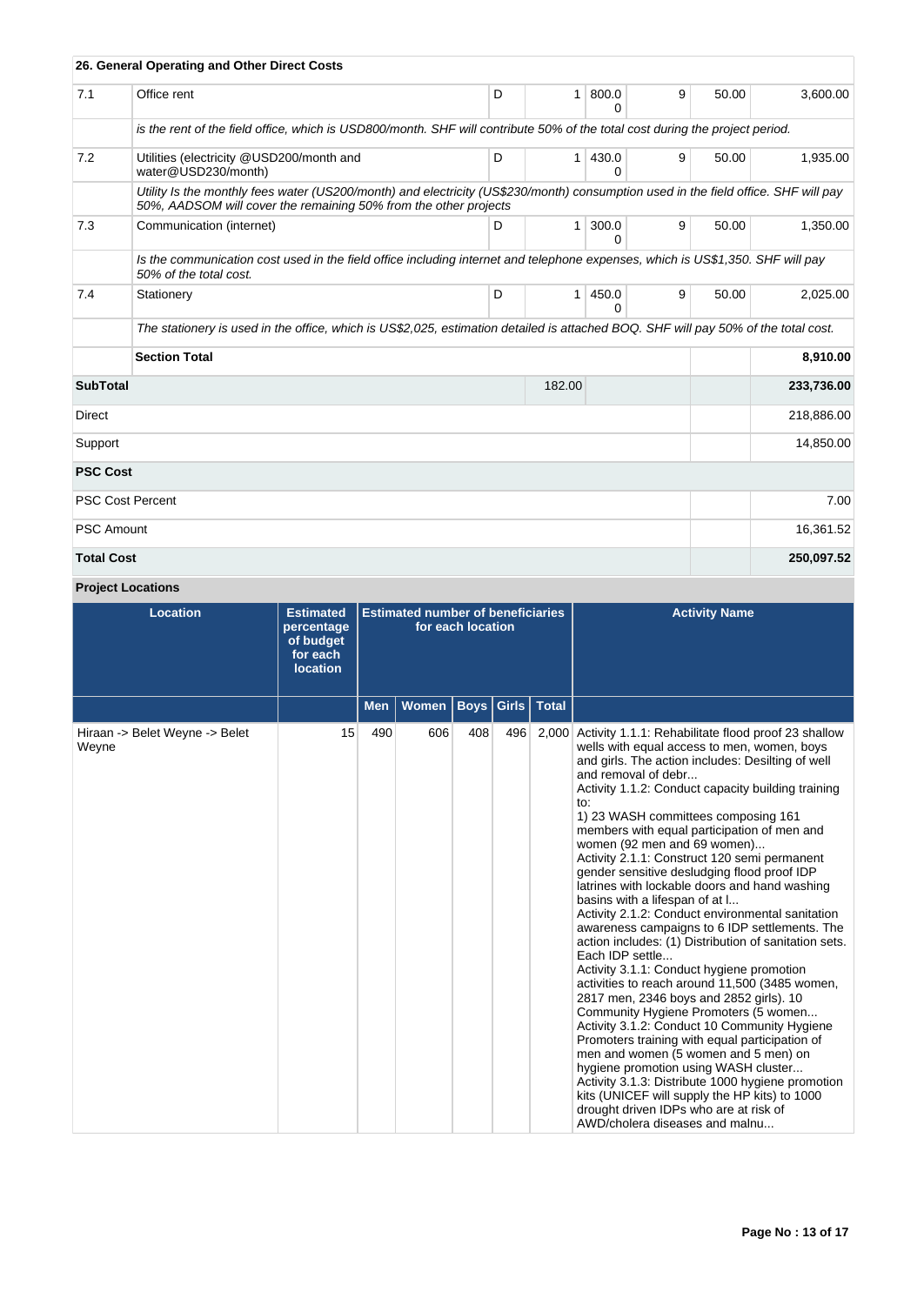|                   | 26. General Operating and Other Direct Costs                                                                                                                                                           |   |                |            |   |       |            |
|-------------------|--------------------------------------------------------------------------------------------------------------------------------------------------------------------------------------------------------|---|----------------|------------|---|-------|------------|
| 7.1               | Office rent                                                                                                                                                                                            | D | 1              | 800.0<br>0 | 9 | 50.00 | 3,600.00   |
|                   | is the rent of the field office, which is USD800/month. SHF will contribute 50% of the total cost during the project period.                                                                           |   |                |            |   |       |            |
| 7.2               | Utilities (electricity @USD200/month and<br>water@USD230/month)                                                                                                                                        | D | $\mathbf{1}$   | 430.0<br>O | 9 | 50.00 | 1,935.00   |
|                   | Utility Is the monthly fees water (US200/month) and electricity (US\$230/month) consumption used in the field office. SHF will pay<br>50%, AADSOM will cover the remaining 50% from the other projects |   |                |            |   |       |            |
| 7.3               | Communication (internet)                                                                                                                                                                               | D | $\mathbf{1}$   | 300.0<br>0 | 9 | 50.00 | 1,350.00   |
|                   | Is the communication cost used in the field office including internet and telephone expenses, which is US\$1,350. SHF will pay<br>50% of the total cost.                                               |   |                |            |   |       |            |
| 7.4               | Stationery                                                                                                                                                                                             | D | 1 <sup>1</sup> | 450.0<br>0 | 9 | 50.00 | 2,025.00   |
|                   | The stationery is used in the office, which is US\$2,025, estimation detailed is attached BOQ. SHF will pay 50% of the total cost.                                                                     |   |                |            |   |       |            |
|                   | <b>Section Total</b>                                                                                                                                                                                   |   |                |            |   |       | 8,910.00   |
| <b>SubTotal</b>   |                                                                                                                                                                                                        |   | 182.00         |            |   |       | 233,736.00 |
| Direct            |                                                                                                                                                                                                        |   |                |            |   |       | 218,886.00 |
| Support           |                                                                                                                                                                                                        |   |                |            |   |       | 14,850.00  |
| <b>PSC Cost</b>   |                                                                                                                                                                                                        |   |                |            |   |       |            |
|                   | <b>PSC Cost Percent</b>                                                                                                                                                                                |   |                |            |   |       | 7.00       |
| <b>PSC Amount</b> |                                                                                                                                                                                                        |   |                |            |   |       | 16,361.52  |
| <b>Total Cost</b> |                                                                                                                                                                                                        |   |                |            |   |       | 250,097.52 |

## **Project Locations**

| <b>Location</b>                         | <b>Estimated</b><br>percentage<br>of budget<br>for each<br><b>location</b> | <b>Estimated number of beneficiaries</b><br>for each location |              |             |       |              | <b>Activity Name</b>                                                                                                                                                                                                                                                                                                                                                                                                                                                                                                                                                                                                                                                                                                                                                                                                                                                                                                                                                                                                                                                                                                                                                                                                                                                                      |
|-----------------------------------------|----------------------------------------------------------------------------|---------------------------------------------------------------|--------------|-------------|-------|--------------|-------------------------------------------------------------------------------------------------------------------------------------------------------------------------------------------------------------------------------------------------------------------------------------------------------------------------------------------------------------------------------------------------------------------------------------------------------------------------------------------------------------------------------------------------------------------------------------------------------------------------------------------------------------------------------------------------------------------------------------------------------------------------------------------------------------------------------------------------------------------------------------------------------------------------------------------------------------------------------------------------------------------------------------------------------------------------------------------------------------------------------------------------------------------------------------------------------------------------------------------------------------------------------------------|
|                                         |                                                                            | <b>Men</b>                                                    | <b>Women</b> | <b>Boys</b> | Girls | <b>Total</b> |                                                                                                                                                                                                                                                                                                                                                                                                                                                                                                                                                                                                                                                                                                                                                                                                                                                                                                                                                                                                                                                                                                                                                                                                                                                                                           |
| Hiraan -> Belet Weyne -> Belet<br>Weyne | 15                                                                         | 490                                                           | 606          | 408         | 496   | 2,000        | Activity 1.1.1: Rehabilitate flood proof 23 shallow<br>wells with equal access to men, women, boys<br>and girls. The action includes: Desilting of well<br>and removal of debr<br>Activity 1.1.2: Conduct capacity building training<br>to:<br>1) 23 WASH committees composing 161<br>members with equal participation of men and<br>women (92 men and 69 women)<br>Activity 2.1.1: Construct 120 semi permanent<br>gender sensitive desludging flood proof IDP<br>latrines with lockable doors and hand washing<br>basins with a lifespan of at I<br>Activity 2.1.2: Conduct environmental sanitation<br>awareness campaigns to 6 IDP settlements. The<br>action includes: (1) Distribution of sanitation sets.<br>Each IDP settle<br>Activity 3.1.1: Conduct hygiene promotion<br>activities to reach around 11,500 (3485 women,<br>2817 men, 2346 boys and 2852 girls). 10<br>Community Hygiene Promoters (5 women<br>Activity 3.1.2: Conduct 10 Community Hygiene<br>Promoters training with equal participation of<br>men and women (5 women and 5 men) on<br>hygiene promotion using WASH cluster<br>Activity 3.1.3: Distribute 1000 hygiene promotion<br>kits (UNICEF will supply the HP kits) to 1000<br>drought driven IDPs who are at risk of<br>AWD/cholera diseases and malnu |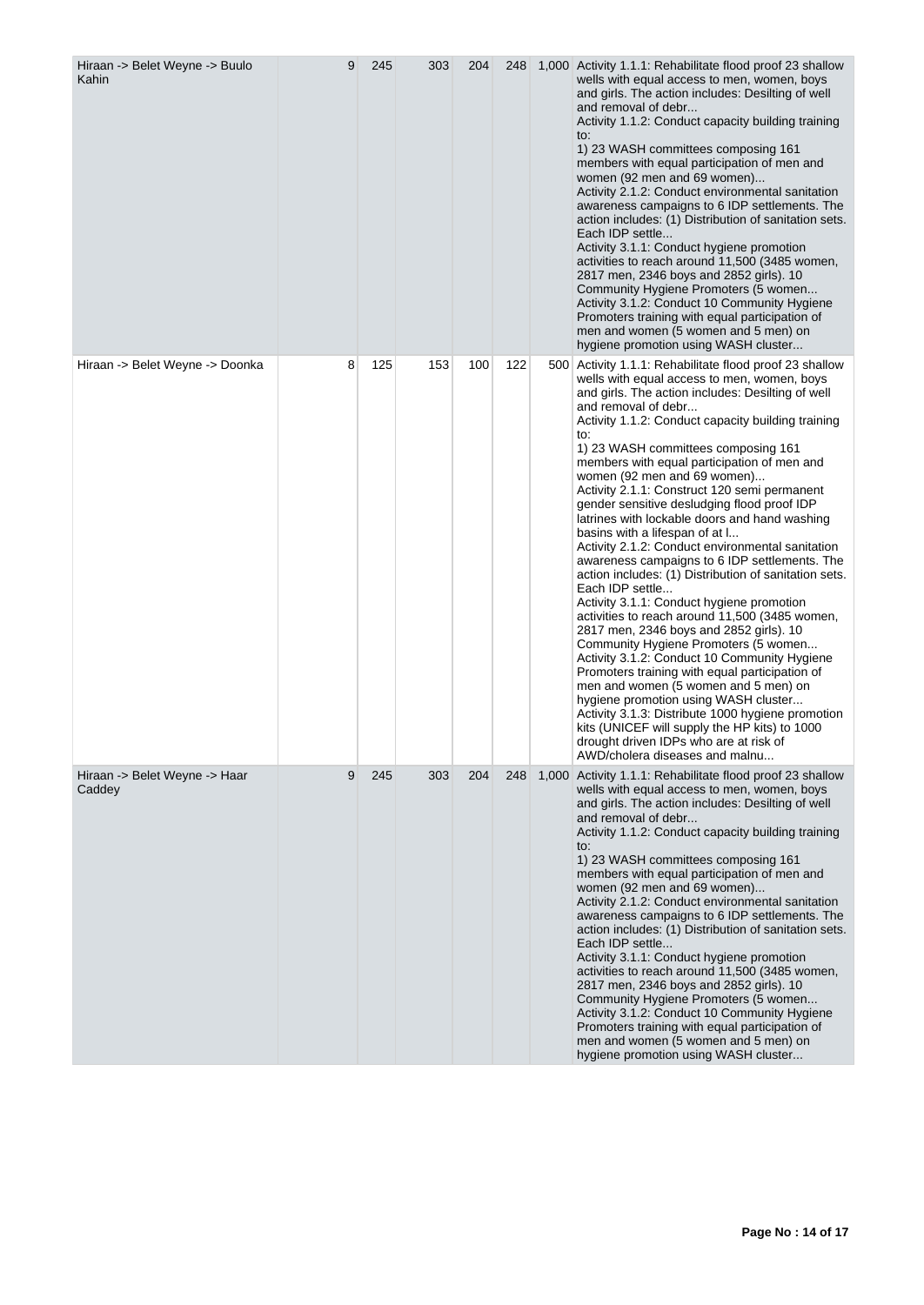| Hiraan -> Belet Weyne -> Buulo<br>Kahin | 9 | 245 | 303 | 204 | 248 |     | 1,000 Activity 1.1.1: Rehabilitate flood proof 23 shallow<br>wells with equal access to men, women, boys<br>and girls. The action includes: Desilting of well<br>and removal of debr<br>Activity 1.1.2: Conduct capacity building training<br>to:<br>1) 23 WASH committees composing 161<br>members with equal participation of men and<br>women (92 men and 69 women)<br>Activity 2.1.2: Conduct environmental sanitation<br>awareness campaigns to 6 IDP settlements. The<br>action includes: (1) Distribution of sanitation sets.<br>Each IDP settle<br>Activity 3.1.1: Conduct hygiene promotion<br>activities to reach around 11,500 (3485 women,<br>2817 men, 2346 boys and 2852 girls). 10<br>Community Hygiene Promoters (5 women<br>Activity 3.1.2: Conduct 10 Community Hygiene<br>Promoters training with equal participation of<br>men and women (5 women and 5 men) on<br>hygiene promotion using WASH cluster                                                                                                                                                                                                                                                                                                                                                               |
|-----------------------------------------|---|-----|-----|-----|-----|-----|-------------------------------------------------------------------------------------------------------------------------------------------------------------------------------------------------------------------------------------------------------------------------------------------------------------------------------------------------------------------------------------------------------------------------------------------------------------------------------------------------------------------------------------------------------------------------------------------------------------------------------------------------------------------------------------------------------------------------------------------------------------------------------------------------------------------------------------------------------------------------------------------------------------------------------------------------------------------------------------------------------------------------------------------------------------------------------------------------------------------------------------------------------------------------------------------------------------------------------------------------------------------------------------------|
| Hiraan -> Belet Weyne -> Doonka         | 8 | 125 | 153 | 100 | 122 | 500 | Activity 1.1.1: Rehabilitate flood proof 23 shallow<br>wells with equal access to men, women, boys<br>and girls. The action includes: Desilting of well<br>and removal of debr<br>Activity 1.1.2: Conduct capacity building training<br>to:<br>1) 23 WASH committees composing 161<br>members with equal participation of men and<br>women (92 men and 69 women)<br>Activity 2.1.1: Construct 120 semi permanent<br>gender sensitive desludging flood proof IDP<br>latrines with lockable doors and hand washing<br>basins with a lifespan of at I<br>Activity 2.1.2: Conduct environmental sanitation<br>awareness campaigns to 6 IDP settlements. The<br>action includes: (1) Distribution of sanitation sets.<br>Each IDP settle<br>Activity 3.1.1: Conduct hygiene promotion<br>activities to reach around 11,500 (3485 women,<br>2817 men, 2346 boys and 2852 girls). 10<br>Community Hygiene Promoters (5 women<br>Activity 3.1.2: Conduct 10 Community Hygiene<br>Promoters training with equal participation of<br>men and women (5 women and 5 men) on<br>hygiene promotion using WASH cluster<br>Activity 3.1.3: Distribute 1000 hygiene promotion<br>kits (UNICEF will supply the HP kits) to 1000<br>drought driven IDPs who are at risk of<br>AWD/cholera diseases and malnu |
| Hiraan -> Belet Weyne -> Haar<br>Caddey | 9 | 245 | 303 | 204 | 248 |     | 1,000 Activity 1.1.1: Rehabilitate flood proof 23 shallow<br>wells with equal access to men, women, boys<br>and girls. The action includes: Desilting of well<br>and removal of debr<br>Activity 1.1.2: Conduct capacity building training<br>to:<br>1) 23 WASH committees composing 161<br>members with equal participation of men and<br>women (92 men and 69 women)<br>Activity 2.1.2: Conduct environmental sanitation<br>awareness campaigns to 6 IDP settlements. The<br>action includes: (1) Distribution of sanitation sets.<br>Each IDP settle<br>Activity 3.1.1: Conduct hygiene promotion<br>activities to reach around 11,500 (3485 women,<br>2817 men, 2346 boys and 2852 girls). 10<br>Community Hygiene Promoters (5 women<br>Activity 3.1.2: Conduct 10 Community Hygiene<br>Promoters training with equal participation of<br>men and women (5 women and 5 men) on<br>hygiene promotion using WASH cluster                                                                                                                                                                                                                                                                                                                                                               |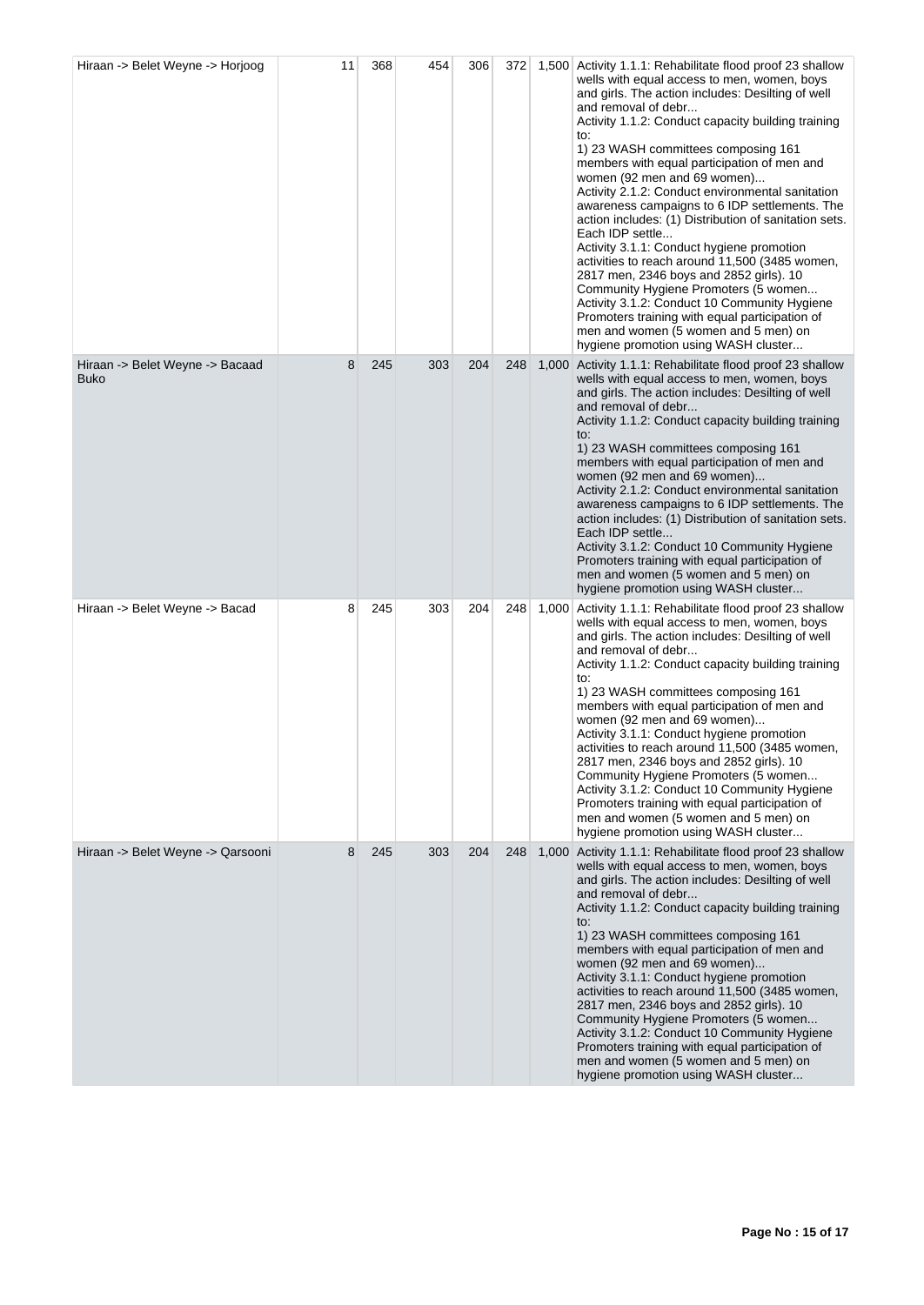| Hiraan -> Belet Weyne -> Horjoog               | 11 | 368 | 454 | 306 | 372 |       | 1,500 Activity 1.1.1: Rehabilitate flood proof 23 shallow<br>wells with equal access to men, women, boys<br>and girls. The action includes: Desilting of well<br>and removal of debr<br>Activity 1.1.2: Conduct capacity building training<br>to:<br>1) 23 WASH committees composing 161<br>members with equal participation of men and<br>women (92 men and 69 women)<br>Activity 2.1.2: Conduct environmental sanitation<br>awareness campaigns to 6 IDP settlements. The<br>action includes: (1) Distribution of sanitation sets.<br>Each IDP settle<br>Activity 3.1.1: Conduct hygiene promotion<br>activities to reach around 11,500 (3485 women,<br>2817 men, 2346 boys and 2852 girls). 10<br>Community Hygiene Promoters (5 women<br>Activity 3.1.2: Conduct 10 Community Hygiene<br>Promoters training with equal participation of<br>men and women (5 women and 5 men) on<br>hygiene promotion using WASH cluster |
|------------------------------------------------|----|-----|-----|-----|-----|-------|-----------------------------------------------------------------------------------------------------------------------------------------------------------------------------------------------------------------------------------------------------------------------------------------------------------------------------------------------------------------------------------------------------------------------------------------------------------------------------------------------------------------------------------------------------------------------------------------------------------------------------------------------------------------------------------------------------------------------------------------------------------------------------------------------------------------------------------------------------------------------------------------------------------------------------|
| Hiraan -> Belet Weyne -> Bacaad<br><b>Buko</b> | 8  | 245 | 303 | 204 | 248 | 1,000 | Activity 1.1.1: Rehabilitate flood proof 23 shallow<br>wells with equal access to men, women, boys<br>and girls. The action includes: Desilting of well<br>and removal of debr<br>Activity 1.1.2: Conduct capacity building training<br>to:<br>1) 23 WASH committees composing 161<br>members with equal participation of men and<br>women (92 men and 69 women)<br>Activity 2.1.2: Conduct environmental sanitation<br>awareness campaigns to 6 IDP settlements. The<br>action includes: (1) Distribution of sanitation sets.<br>Each IDP settle<br>Activity 3.1.2: Conduct 10 Community Hygiene<br>Promoters training with equal participation of<br>men and women (5 women and 5 men) on<br>hygiene promotion using WASH cluster                                                                                                                                                                                         |
| Hiraan -> Belet Weyne -> Bacad                 | 8  | 245 | 303 | 204 | 248 | 1,000 | Activity 1.1.1: Rehabilitate flood proof 23 shallow<br>wells with equal access to men, women, boys<br>and girls. The action includes: Desilting of well<br>and removal of debr<br>Activity 1.1.2: Conduct capacity building training<br>to:<br>1) 23 WASH committees composing 161<br>members with equal participation of men and<br>women (92 men and 69 women)<br>Activity 3.1.1: Conduct hygiene promotion<br>activities to reach around 11,500 (3485 women,<br>2817 men, 2346 boys and 2852 girls). 10<br>Community Hygiene Promoters (5 women<br>Activity 3.1.2: Conduct 10 Community Hygiene<br>Promoters training with equal participation of<br>men and women (5 women and 5 men) on<br>hygiene promotion using WASH cluster                                                                                                                                                                                        |
| Hiraan -> Belet Weyne -> Qarsooni              | 8  | 245 | 303 | 204 | 248 |       | 1,000 Activity 1.1.1: Rehabilitate flood proof 23 shallow<br>wells with equal access to men, women, boys<br>and girls. The action includes: Desilting of well<br>and removal of debr<br>Activity 1.1.2: Conduct capacity building training<br>to:<br>1) 23 WASH committees composing 161<br>members with equal participation of men and<br>women (92 men and 69 women)<br>Activity 3.1.1: Conduct hygiene promotion<br>activities to reach around 11,500 (3485 women,<br>2817 men, 2346 boys and 2852 girls). 10<br>Community Hygiene Promoters (5 women<br>Activity 3.1.2: Conduct 10 Community Hygiene<br>Promoters training with equal participation of<br>men and women (5 women and 5 men) on<br>hygiene promotion using WASH cluster                                                                                                                                                                                  |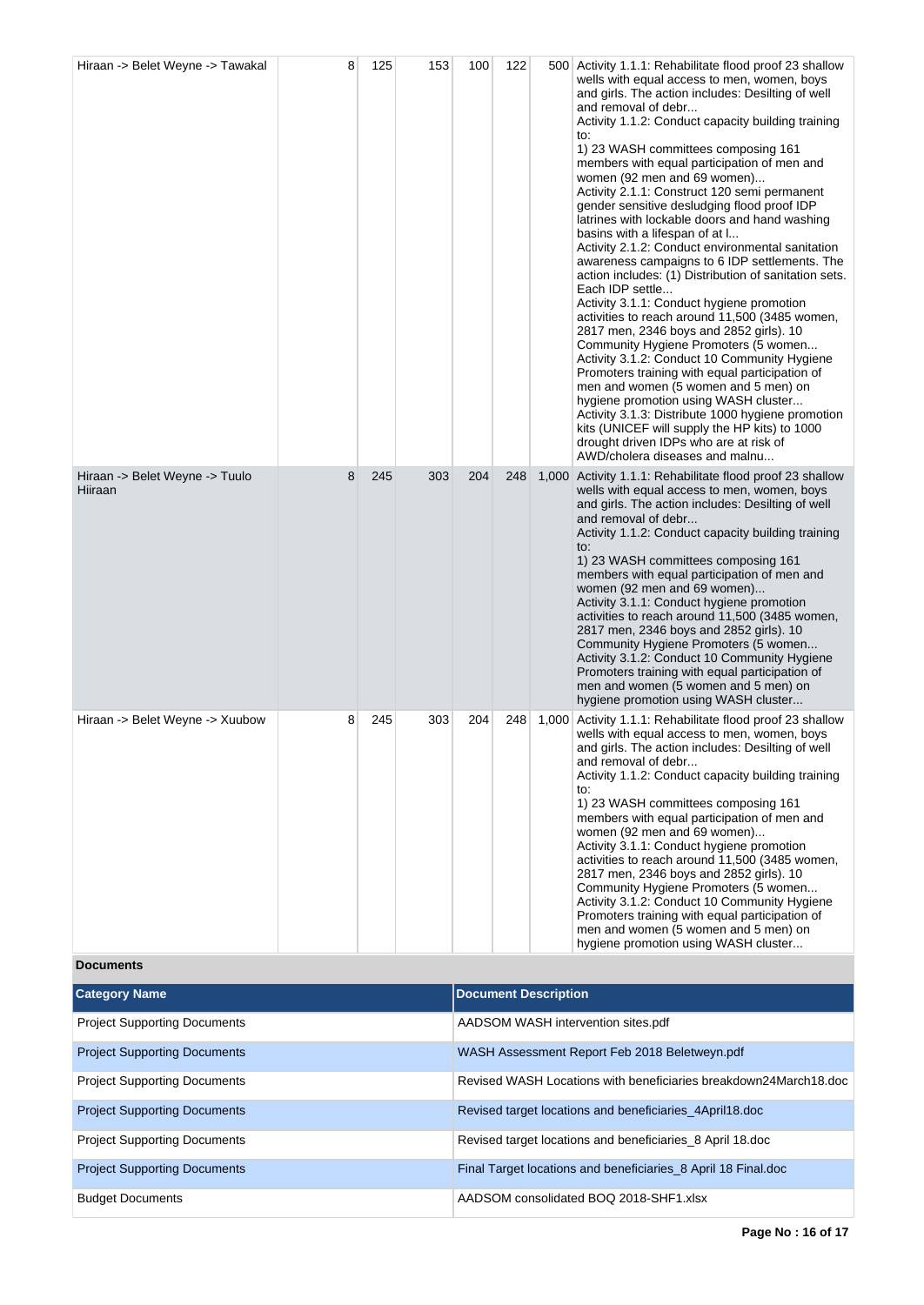| Hiraan -> Belet Weyne -> Tawakal          | 8 | 125 | 153                         | 100 | 122 |       | 500 Activity 1.1.1: Rehabilitate flood proof 23 shallow<br>wells with equal access to men, women, boys<br>and girls. The action includes: Desilting of well<br>and removal of debr<br>Activity 1.1.2: Conduct capacity building training<br>to:<br>1) 23 WASH committees composing 161<br>members with equal participation of men and<br>women (92 men and 69 women)<br>Activity 2.1.1: Construct 120 semi permanent<br>gender sensitive desludging flood proof IDP<br>latrines with lockable doors and hand washing<br>basins with a lifespan of at I<br>Activity 2.1.2: Conduct environmental sanitation<br>awareness campaigns to 6 IDP settlements. The<br>action includes: (1) Distribution of sanitation sets.<br>Each IDP settle<br>Activity 3.1.1: Conduct hygiene promotion<br>activities to reach around 11,500 (3485 women,<br>2817 men, 2346 boys and 2852 girls). 10<br>Community Hygiene Promoters (5 women<br>Activity 3.1.2: Conduct 10 Community Hygiene<br>Promoters training with equal participation of<br>men and women (5 women and 5 men) on<br>hygiene promotion using WASH cluster<br>Activity 3.1.3: Distribute 1000 hygiene promotion<br>kits (UNICEF will supply the HP kits) to 1000<br>drought driven IDPs who are at risk of<br>AWD/cholera diseases and malnu |  |
|-------------------------------------------|---|-----|-----------------------------|-----|-----|-------|-----------------------------------------------------------------------------------------------------------------------------------------------------------------------------------------------------------------------------------------------------------------------------------------------------------------------------------------------------------------------------------------------------------------------------------------------------------------------------------------------------------------------------------------------------------------------------------------------------------------------------------------------------------------------------------------------------------------------------------------------------------------------------------------------------------------------------------------------------------------------------------------------------------------------------------------------------------------------------------------------------------------------------------------------------------------------------------------------------------------------------------------------------------------------------------------------------------------------------------------------------------------------------------------------|--|
| Hiraan -> Belet Weyne -> Tuulo<br>Hiiraan | 8 | 245 | 303                         | 204 | 248 | 1,000 | Activity 1.1.1: Rehabilitate flood proof 23 shallow<br>wells with equal access to men, women, boys<br>and girls. The action includes: Desilting of well<br>and removal of debr<br>Activity 1.1.2: Conduct capacity building training<br>to:<br>1) 23 WASH committees composing 161<br>members with equal participation of men and<br>women (92 men and 69 women)<br>Activity 3.1.1: Conduct hygiene promotion<br>activities to reach around 11,500 (3485 women,<br>2817 men, 2346 boys and 2852 girls). 10<br>Community Hygiene Promoters (5 women<br>Activity 3.1.2: Conduct 10 Community Hygiene<br>Promoters training with equal participation of<br>men and women (5 women and 5 men) on<br>hygiene promotion using WASH cluster                                                                                                                                                                                                                                                                                                                                                                                                                                                                                                                                                          |  |
| Hiraan -> Belet Weyne -> Xuubow           | 8 | 245 | 303                         | 204 | 248 | 1,000 | Activity 1.1.1: Rehabilitate flood proof 23 shallow<br>wells with equal access to men, women, boys<br>and girls. The action includes: Desilting of well<br>and removal of debr<br>Activity 1.1.2: Conduct capacity building training<br>to:<br>1) 23 WASH committees composing 161<br>members with equal participation of men and<br>women (92 men and 69 women)<br>Activity 3.1.1: Conduct hygiene promotion<br>activities to reach around 11,500 (3485 women,<br>2817 men, 2346 boys and 2852 girls). 10<br>Community Hygiene Promoters (5 women<br>Activity 3.1.2: Conduct 10 Community Hygiene<br>Promoters training with equal participation of<br>men and women (5 women and 5 men) on<br>hygiene promotion using WASH cluster                                                                                                                                                                                                                                                                                                                                                                                                                                                                                                                                                          |  |
| <b>Documents</b>                          |   |     |                             |     |     |       |                                                                                                                                                                                                                                                                                                                                                                                                                                                                                                                                                                                                                                                                                                                                                                                                                                                                                                                                                                                                                                                                                                                                                                                                                                                                                               |  |
| <b>Category Name</b>                      |   |     | <b>Document Description</b> |     |     |       |                                                                                                                                                                                                                                                                                                                                                                                                                                                                                                                                                                                                                                                                                                                                                                                                                                                                                                                                                                                                                                                                                                                                                                                                                                                                                               |  |

| <b>Project Supporting Documents</b> | AADSOM WASH intervention sites.pdf                               |
|-------------------------------------|------------------------------------------------------------------|
| <b>Project Supporting Documents</b> | WASH Assessment Report Feb 2018 Beletweyn.pdf                    |
| <b>Project Supporting Documents</b> | Revised WASH Locations with beneficiaries breakdown24March18.doc |
| <b>Project Supporting Documents</b> | Revised target locations and beneficiaries 4April18.doc          |
| <b>Project Supporting Documents</b> | Revised target locations and beneficiaries 8 April 18.doc        |
| <b>Project Supporting Documents</b> | Final Target locations and beneficiaries_8 April 18 Final.doc    |
| <b>Budget Documents</b>             | AADSOM consolidated BOO 2018-SHF1.xlsx                           |